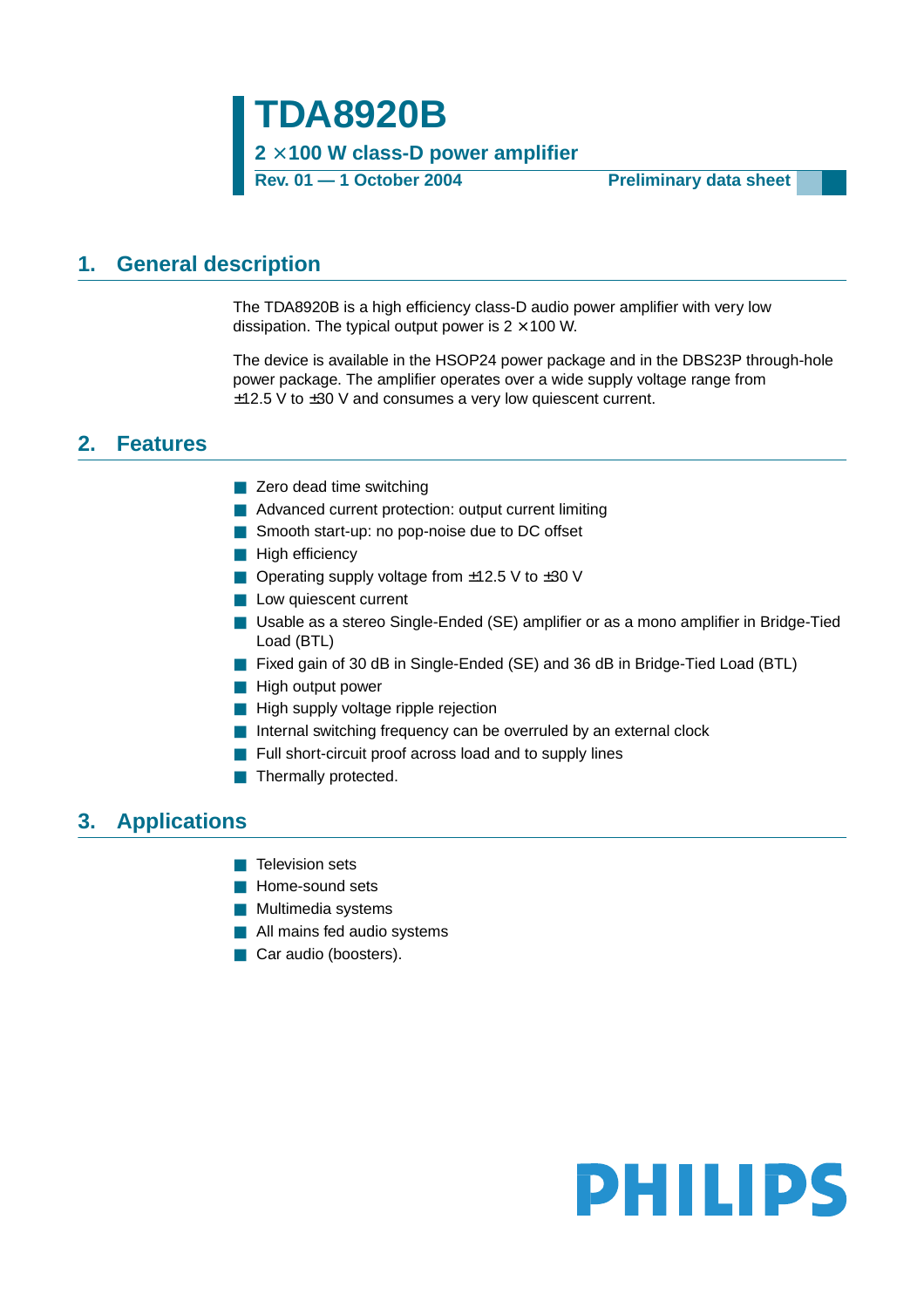**TDA8920B 2** × **100 W class-D power amplifier**

**Rev. 01 — 1 October 2004 Preliminary data sheet**

## <span id="page-0-0"></span>**1. General description**

The TDA8920B is a high efficiency class-D audio power amplifier with very low dissipation. The typical output power is  $2 \times 100$  W.

The device is available in the HSOP24 power package and in the DBS23P through-hole power package. The amplifier operates over a wide supply voltage range from ±12.5 V to ±30 V and consumes a very low quiescent current.

## <span id="page-0-1"></span>**2. Features**

- Zero dead time switching
- Advanced current protection: output current limiting
- Smooth start-up: no pop-noise due to DC offset
- High efficiencv
- Operating supply voltage from  $±12.5$  V to  $±30$  V
- Low quiescent current
- Usable as a stereo Single-Ended (SE) amplifier or as a mono amplifier in Bridge-Tied Load (BTL)
- Fixed gain of 30 dB in Single-Ended (SE) and 36 dB in Bridge-Tied Load (BTL)
- High output power
- High supply voltage ripple rejection
- Internal switching frequency can be overruled by an external clock
- Full short-circuit proof across load and to supply lines
- Thermally protected.

## <span id="page-0-2"></span>**3. Applications**

- Television sets
- Home-sound sets
- Multimedia systems
- All mains fed audio systems
- Car audio (boosters).

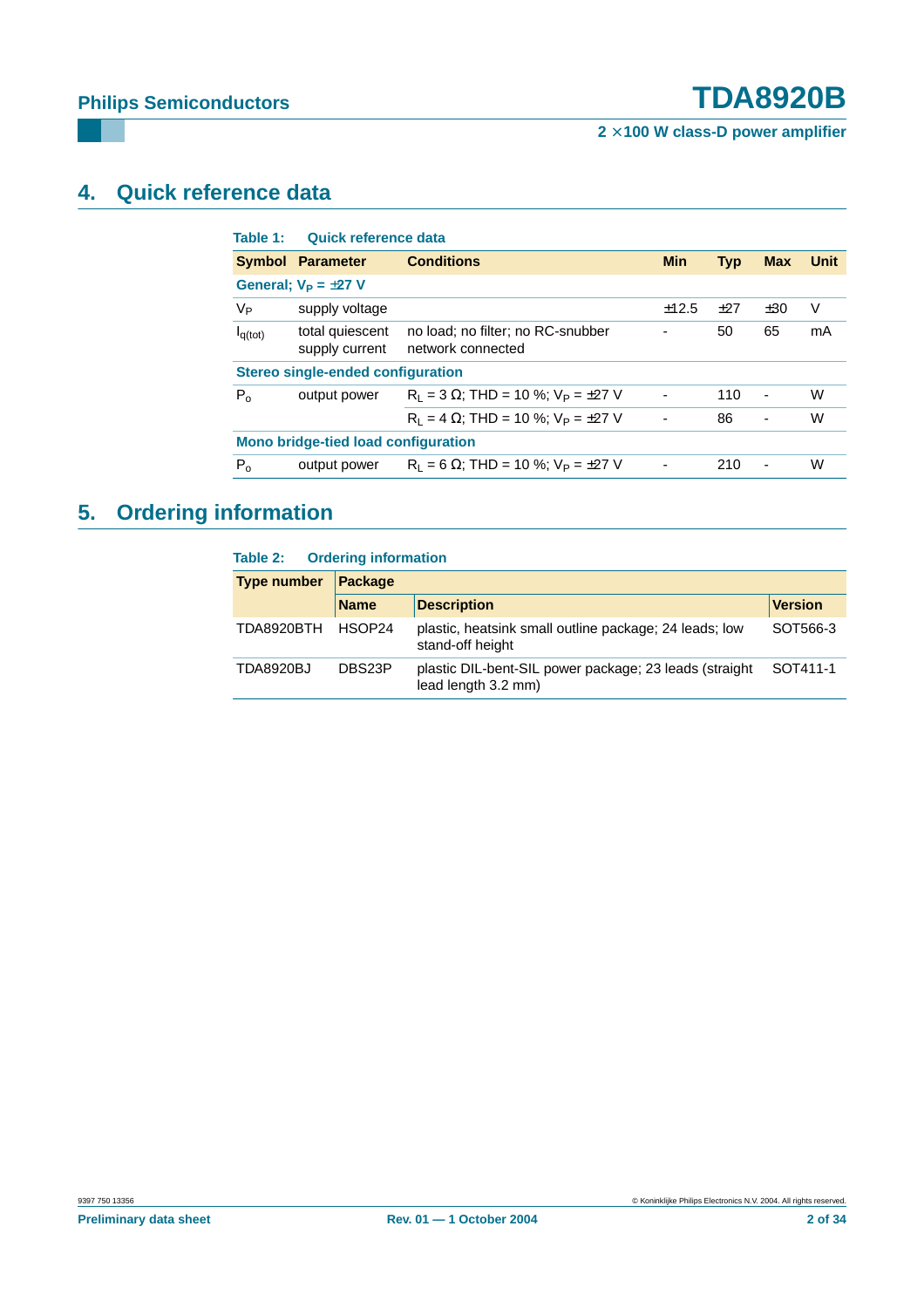**2** × **100 W class-D power amplifier**

# <span id="page-1-0"></span>**4. Quick reference data**

| Table 1:                                   | Quick reference data              |                                                        |                              |            |                          |      |  |  |  |
|--------------------------------------------|-----------------------------------|--------------------------------------------------------|------------------------------|------------|--------------------------|------|--|--|--|
|                                            | <b>Symbol Parameter</b>           | <b>Conditions</b>                                      | <b>Min</b>                   | <b>Typ</b> | <b>Max</b>               | Unit |  |  |  |
|                                            | General: $V_P = \pm 27$ V         |                                                        |                              |            |                          |      |  |  |  |
| Vр                                         | supply voltage                    |                                                        | ±12.5                        | ±27        | ±30                      | V    |  |  |  |
| $I_{q(tot)}$                               | total quiescent<br>supply current | no load; no filter; no RC-snubber<br>network connected | $\overline{\phantom{a}}$     | 50         | 65                       | mA   |  |  |  |
|                                            | Stereo single-ended configuration |                                                        |                              |            |                          |      |  |  |  |
| $P_0$                                      | output power                      | $R_1 = 3 \Omega$ ; THD = 10 %; $V_P = \pm 27 V$        | $\qquad \qquad \blacksquare$ | 110        | $\overline{\phantom{a}}$ | W    |  |  |  |
|                                            |                                   | $R_1 = 4 \Omega$ ; THD = 10 %; $V_P = \pm 27 V$        | $\overline{\phantom{a}}$     | 86         | $\blacksquare$           | W    |  |  |  |
| <b>Mono bridge-tied load configuration</b> |                                   |                                                        |                              |            |                          |      |  |  |  |
| $P_{o}$                                    | output power                      | $R_1 = 6 \Omega$ ; THD = 10 %; $V_P = \pm 27 V$        |                              | 210        |                          | W    |  |  |  |

# <span id="page-1-1"></span>**5. Ordering information**

#### **Table 2: Ordering information**

| <b>Type number</b> | <b>Package</b> |                                                                                |                |  |  |  |
|--------------------|----------------|--------------------------------------------------------------------------------|----------------|--|--|--|
|                    | <b>Name</b>    | <b>Description</b>                                                             | <b>Version</b> |  |  |  |
| TDA8920BTH         | HSOP24         | plastic, heatsink small outline package; 24 leads; low<br>stand-off height     | SOT566-3       |  |  |  |
| <b>TDA8920BJ</b>   | DBS23P         | plastic DIL-bent-SIL power package; 23 leads (straight)<br>lead length 3.2 mm) | SOT411-1       |  |  |  |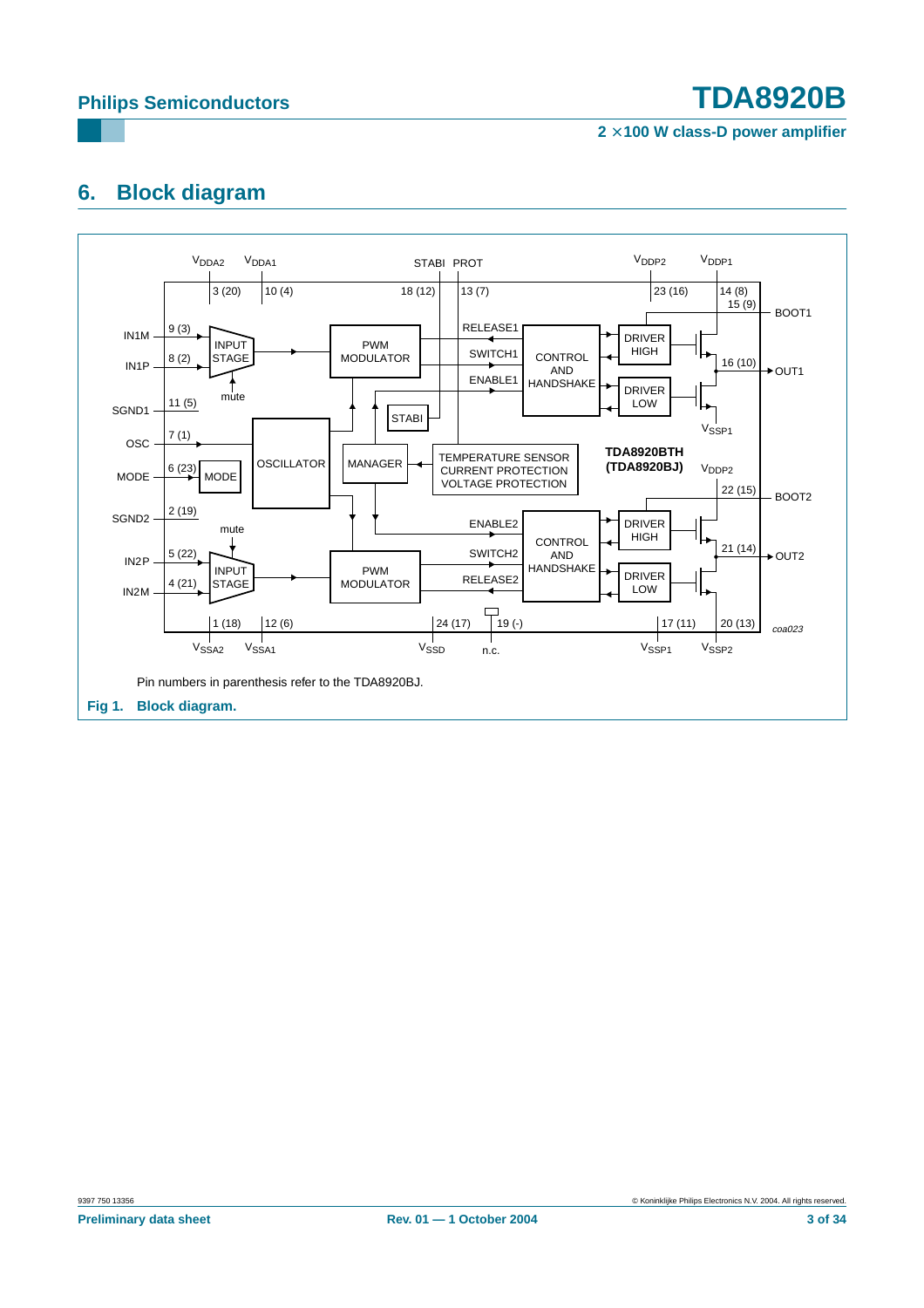**2** × **100 W class-D power amplifier**

# <span id="page-2-0"></span>**6. Block diagram**

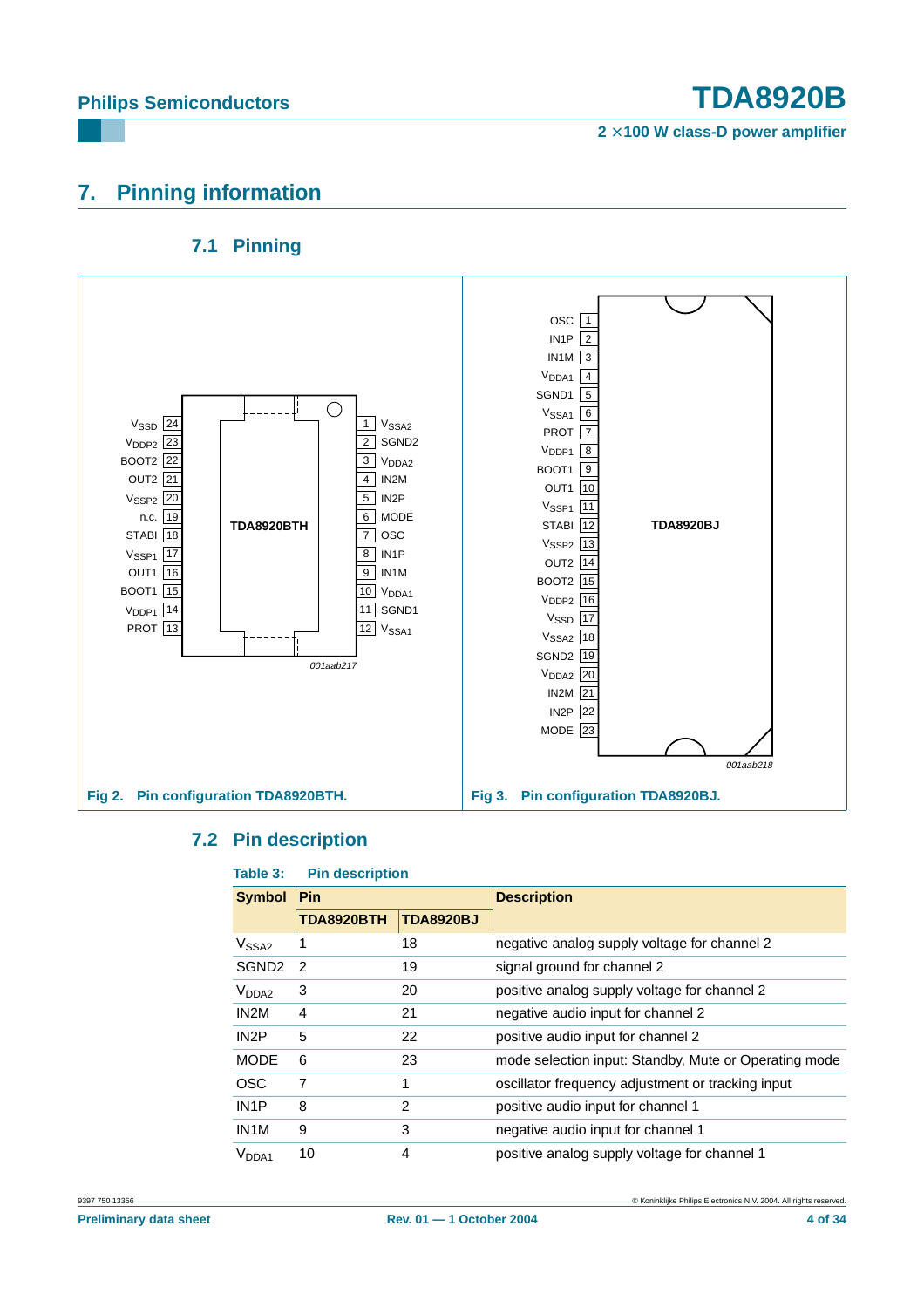**2** × **100 W class-D power amplifier**

# <span id="page-3-0"></span>**7. Pinning information**

## **7.1 Pinning**

<span id="page-3-1"></span>

#### <span id="page-3-2"></span>**7.2 Pin description**

#### **Table 3: Pin description**

|                   | .  wwwp       |                  |                                                       |
|-------------------|---------------|------------------|-------------------------------------------------------|
| <b>Symbol</b>     | <b>Pin</b>    |                  | <b>Description</b>                                    |
|                   | TDA8920BTH    | <b>TDA8920BJ</b> |                                                       |
| V <sub>SSA2</sub> | 1             | 18               | negative analog supply voltage for channel 2          |
| SGND <sub>2</sub> | $\mathcal{P}$ | 19               | signal ground for channel 2                           |
| V <sub>DDA2</sub> | 3             | 20               | positive analog supply voltage for channel 2          |
| IN <sub>2</sub> M | 4             | 21               | negative audio input for channel 2                    |
| IN <sub>2</sub> P | 5             | 22               | positive audio input for channel 2                    |
| <b>MODE</b>       | 6             | 23               | mode selection input: Standby, Mute or Operating mode |
| <b>OSC</b>        | 7             | 1                | oscillator frequency adjustment or tracking input     |
| IN <sub>1</sub> P | 8             | $\overline{2}$   | positive audio input for channel 1                    |
| IN <sub>1</sub> M | 9             | 3                | negative audio input for channel 1                    |
| V <sub>DDA1</sub> | 10            | 4                | positive analog supply voltage for channel 1          |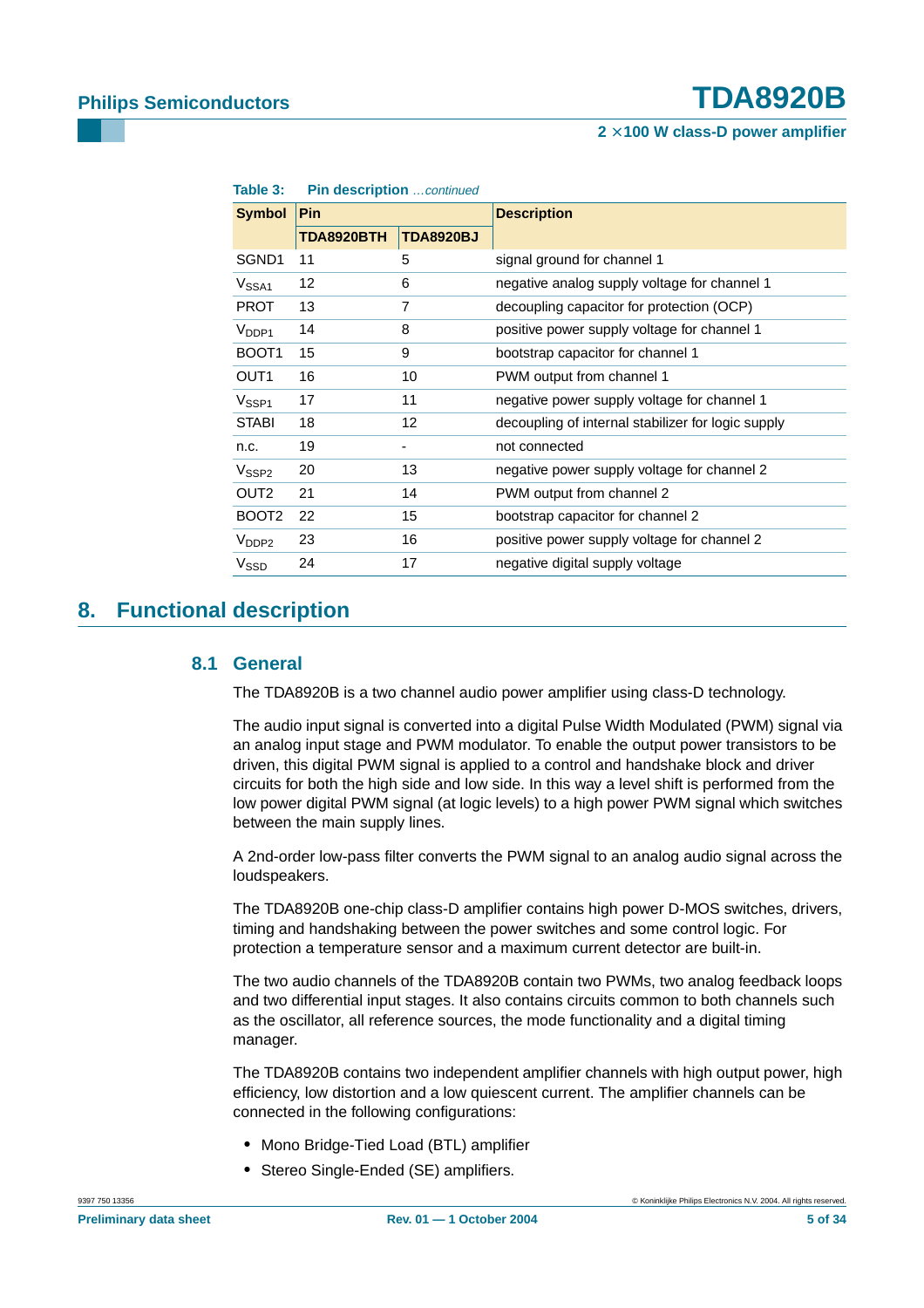| iaule J.                     | <b>FIII UCSUIDUUII</b> COMMUTULOU |                  |                                                    |  |  |
|------------------------------|-----------------------------------|------------------|----------------------------------------------------|--|--|
| <b>Symbol</b>                | <b>Pin</b>                        |                  | <b>Description</b>                                 |  |  |
|                              | TDA8920BTH                        | <b>TDA8920BJ</b> |                                                    |  |  |
| SGND1                        | 11                                | 5                | signal ground for channel 1                        |  |  |
| V <sub>SSA1</sub>            | 12                                | 6                | negative analog supply voltage for channel 1       |  |  |
| <b>PROT</b>                  | 13                                | 7                | decoupling capacitor for protection (OCP)          |  |  |
| $V_{DDP1}$                   | 14                                | 8                | positive power supply voltage for channel 1        |  |  |
| BOOT <sub>1</sub>            | 15                                | 9                | bootstrap capacitor for channel 1                  |  |  |
| OUT <sub>1</sub>             | 16                                | 10               | PWM output from channel 1                          |  |  |
| V <sub>SSP1</sub>            | 17                                | 11               | negative power supply voltage for channel 1        |  |  |
| <b>STABI</b>                 | 18                                | 12               | decoupling of internal stabilizer for logic supply |  |  |
| n.c.                         | 19                                |                  | not connected                                      |  |  |
| $\mathsf{V}_{\textsf{SSP2}}$ | 20                                | 13               | negative power supply voltage for channel 2        |  |  |
| OUT2                         | 21                                | 14               | PWM output from channel 2                          |  |  |
| BOOT <sub>2</sub>            | 22                                | 15               | bootstrap capacitor for channel 2                  |  |  |
| V <sub>DDP2</sub>            | 23                                | 16               | positive power supply voltage for channel 2        |  |  |
| V <sub>SSD</sub>             | 24                                | 17               | negative digital supply voltage                    |  |  |

**Table 3:** Pin description continued

## <span id="page-4-1"></span><span id="page-4-0"></span>**8. Functional description**

#### **8.1 General**

The TDA8920B is a two channel audio power amplifier using class-D technology.

The audio input signal is converted into a digital Pulse Width Modulated (PWM) signal via an analog input stage and PWM modulator. To enable the output power transistors to be driven, this digital PWM signal is applied to a control and handshake block and driver circuits for both the high side and low side. In this way a level shift is performed from the low power digital PWM signal (at logic levels) to a high power PWM signal which switches between the main supply lines.

A 2nd-order low-pass filter converts the PWM signal to an analog audio signal across the loudspeakers.

The TDA8920B one-chip class-D amplifier contains high power D-MOS switches, drivers, timing and handshaking between the power switches and some control logic. For protection a temperature sensor and a maximum current detector are built-in.

The two audio channels of the TDA8920B contain two PWMs, two analog feedback loops and two differential input stages. It also contains circuits common to both channels such as the oscillator, all reference sources, the mode functionality and a digital timing manager.

The TDA8920B contains two independent amplifier channels with high output power, high efficiency, low distortion and a low quiescent current. The amplifier channels can be connected in the following configurations:

- **•** Mono Bridge-Tied Load (BTL) amplifier
- **•** Stereo Single-Ended (SE) amplifiers.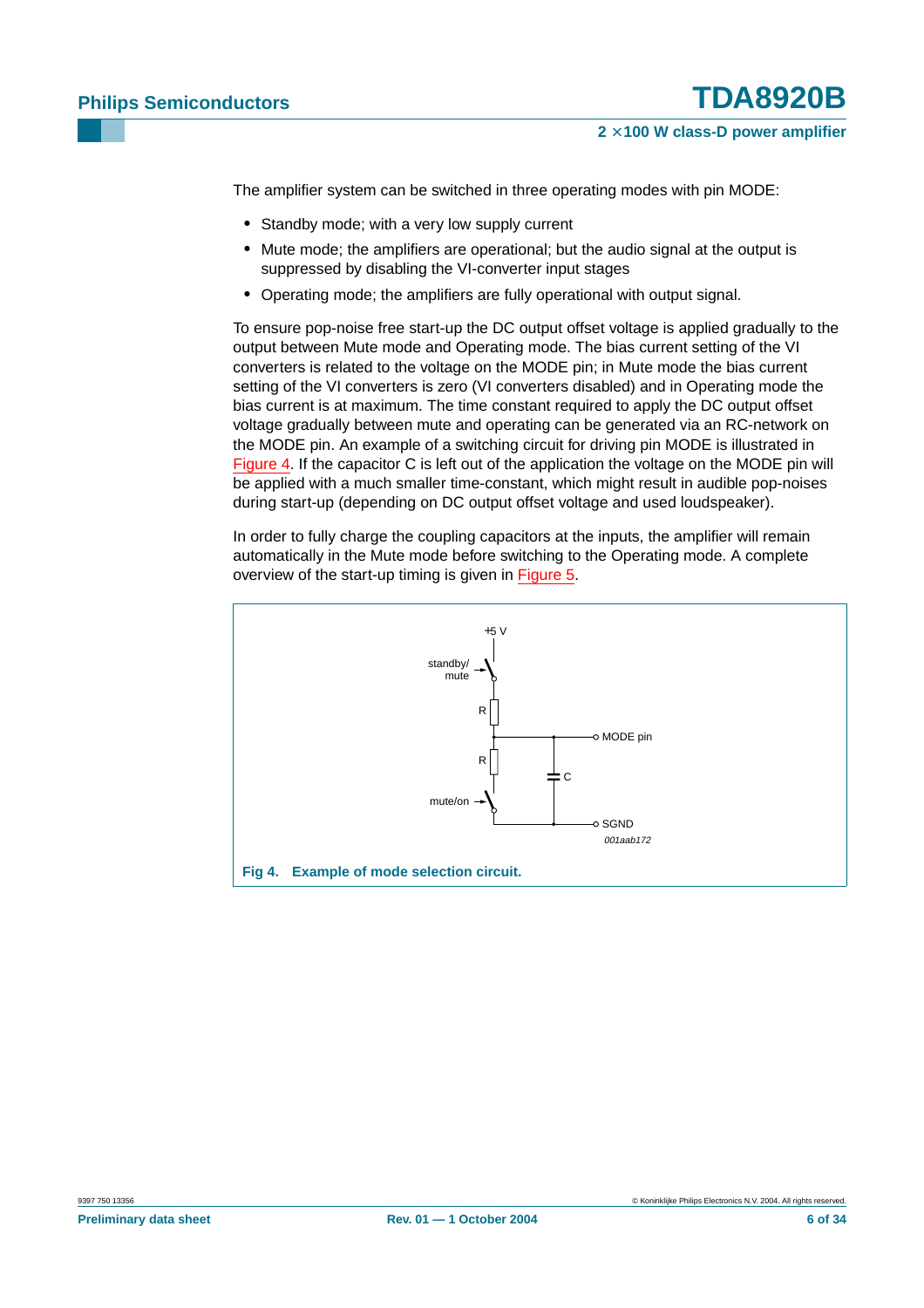The amplifier system can be switched in three operating modes with pin MODE:

- **•** Standby mode; with a very low supply current
- **•** Mute mode; the amplifiers are operational; but the audio signal at the output is suppressed by disabling the VI-converter input stages
- **•** Operating mode; the amplifiers are fully operational with output signal.

To ensure pop-noise free start-up the DC output offset voltage is applied gradually to the output between Mute mode and Operating mode. The bias current setting of the VI converters is related to the voltage on the MODE pin; in Mute mode the bias current setting of the VI converters is zero (VI converters disabled) and in Operating mode the bias current is at maximum. The time constant required to apply the DC output offset voltage gradually between mute and operating can be generated via an RC-network on the MODE pin. An example of a switching circuit for driving pin MODE is illustrated in [Figure](#page-5-0) 4. If the capacitor C is left out of the application the voltage on the MODE pin will be applied with a much smaller time-constant, which might result in audible pop-noises during start-up (depending on DC output offset voltage and used loudspeaker).

In order to fully charge the coupling capacitors at the inputs, the amplifier will remain automatically in the Mute mode before switching to the Operating mode. A complete overview of the start-up timing is given in [Figure](#page-6-0) 5.

<span id="page-5-0"></span>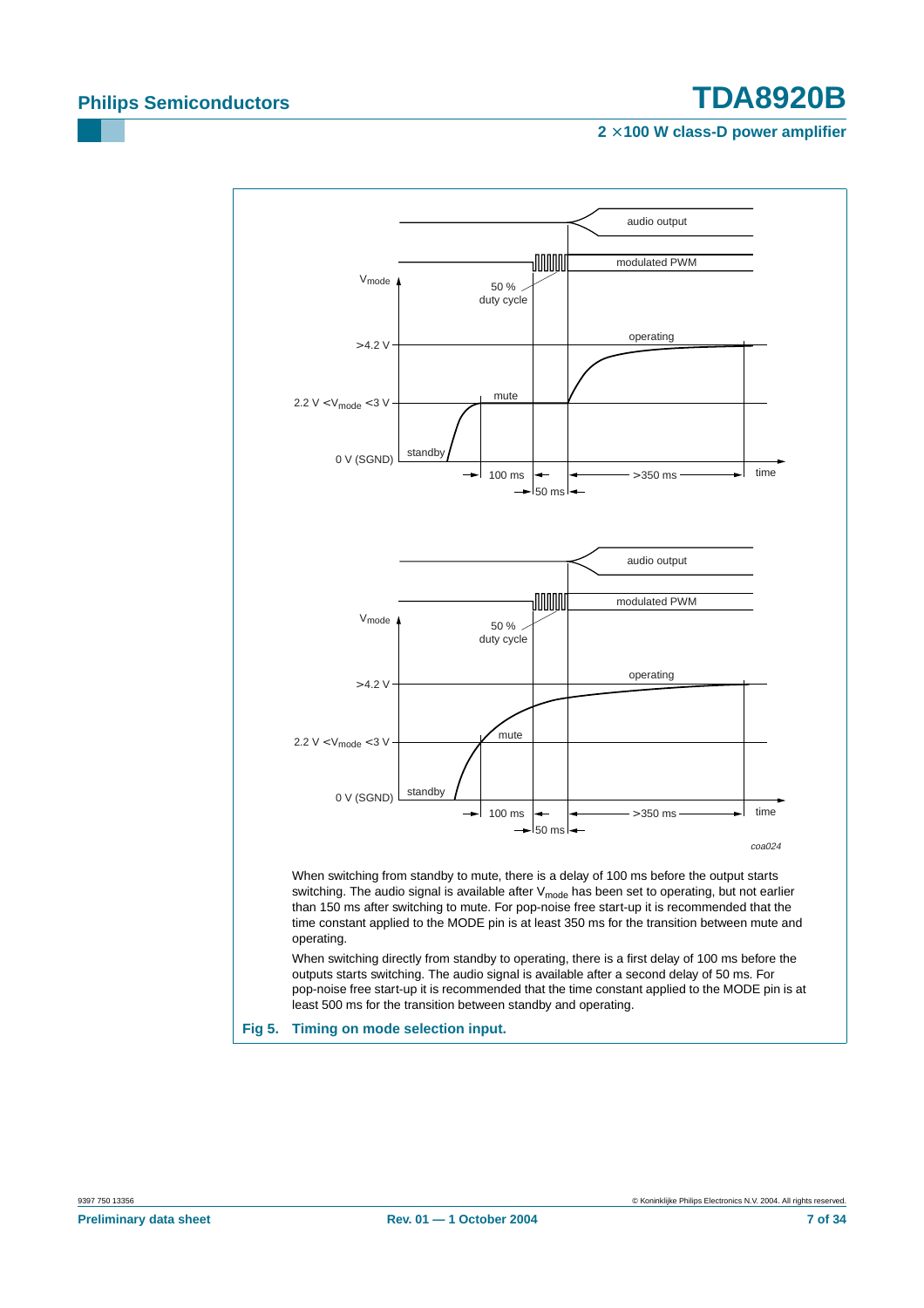<span id="page-6-0"></span>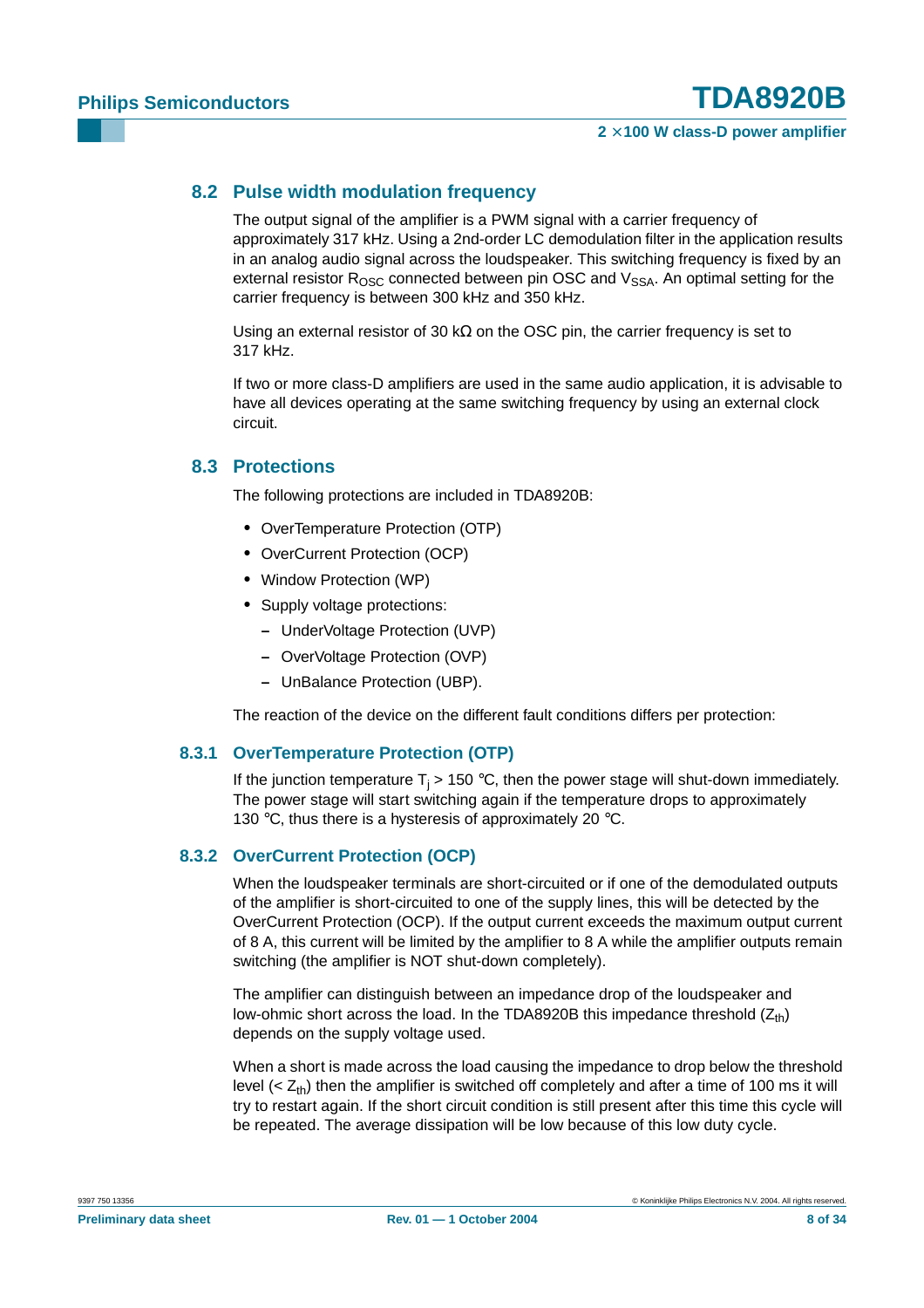#### <span id="page-7-0"></span>**8.2 Pulse width modulation frequency**

The output signal of the amplifier is a PWM signal with a carrier frequency of approximately 317 kHz. Using a 2nd-order LC demodulation filter in the application results in an analog audio signal across the loudspeaker. This switching frequency is fixed by an external resistor  $R_{\text{OSC}}$  connected between pin OSC and  $V_{\text{SSA}}$ . An optimal setting for the carrier frequency is between 300 kHz and 350 kHz.

Using an external resistor of 30 k $\Omega$  on the OSC pin, the carrier frequency is set to 317 kHz.

If two or more class-D amplifiers are used in the same audio application, it is advisable to have all devices operating at the same switching frequency by using an external clock circuit.

#### <span id="page-7-1"></span>**8.3 Protections**

The following protections are included in TDA8920B:

- **•** OverTemperature Protection (OTP)
- **•** OverCurrent Protection (OCP)
- **•** Window Protection (WP)
- **•** Supply voltage protections:
	- **–** UnderVoltage Protection (UVP)
	- **–** OverVoltage Protection (OVP)
	- **–** UnBalance Protection (UBP).

The reaction of the device on the different fault conditions differs per protection:

#### <span id="page-7-2"></span>**8.3.1 OverTemperature Protection (OTP)**

If the junction temperature  $T_i > 150$  °C, then the power stage will shut-down immediately. The power stage will start switching again if the temperature drops to approximately 130 °C, thus there is a hysteresis of approximately 20 °C.

#### <span id="page-7-3"></span>**8.3.2 OverCurrent Protection (OCP)**

When the loudspeaker terminals are short-circuited or if one of the demodulated outputs of the amplifier is short-circuited to one of the supply lines, this will be detected by the OverCurrent Protection (OCP). If the output current exceeds the maximum output current of 8 A, this current will be limited by the amplifier to 8 A while the amplifier outputs remain switching (the amplifier is NOT shut-down completely).

The amplifier can distinguish between an impedance drop of the loudspeaker and low-ohmic short across the load. In the TDA8920B this impedance threshold  $(Z_{th})$ depends on the supply voltage used.

When a short is made across the load causing the impedance to drop below the threshold level  $( $Z_{\text{th}}$ )$  then the amplifier is switched off completely and after a time of 100 ms it will try to restart again. If the short circuit condition is still present after this time this cycle will be repeated. The average dissipation will be low because of this low duty cycle.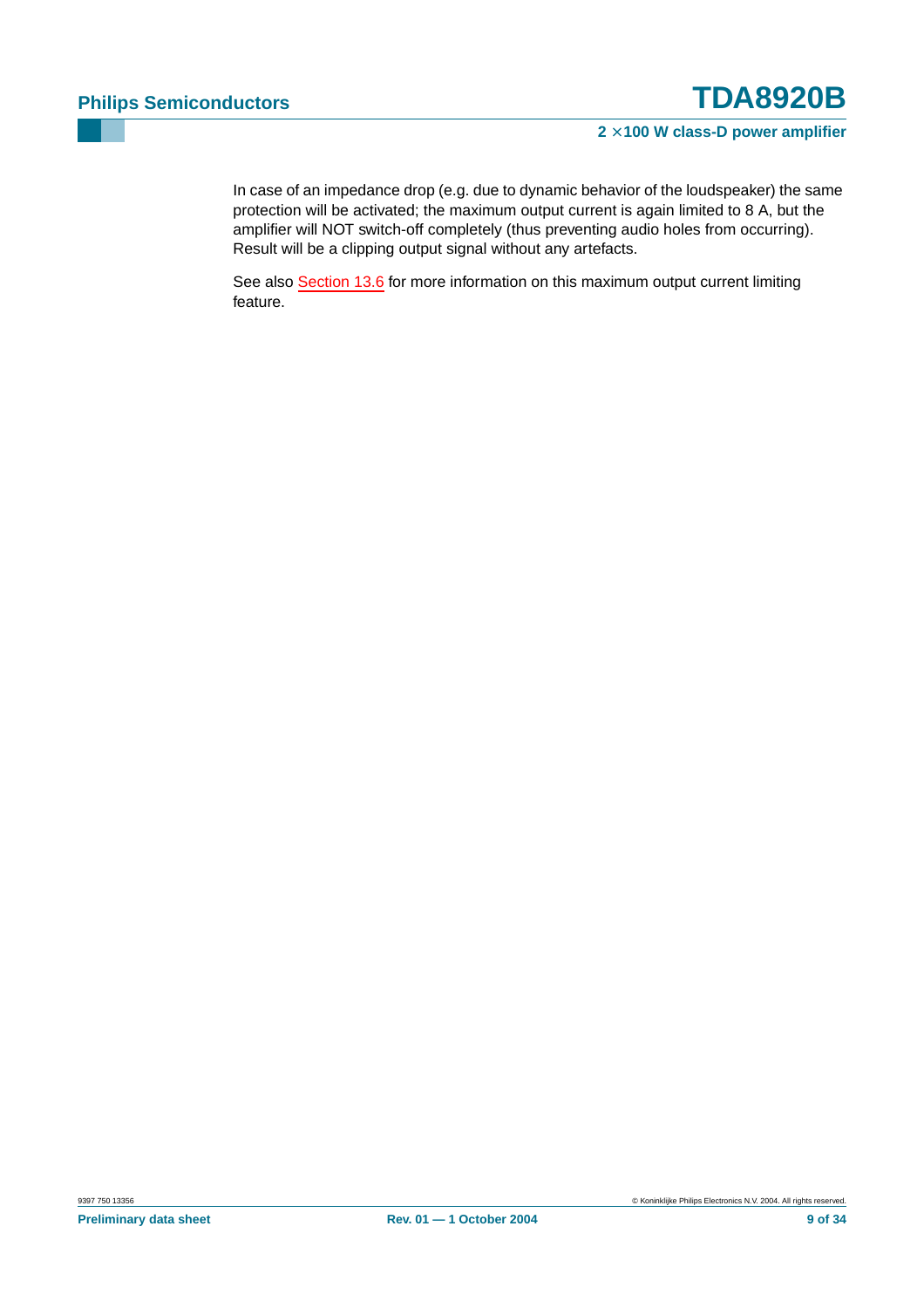In case of an impedance drop (e.g. due to dynamic behavior of the loudspeaker) the same protection will be activated; the maximum output current is again limited to 8 A, but the amplifier will NOT switch-off completely (thus preventing audio holes from occurring). Result will be a clipping output signal without any artefacts.

See also [Section](#page-17-0) 13.6 for more information on this maximum output current limiting feature.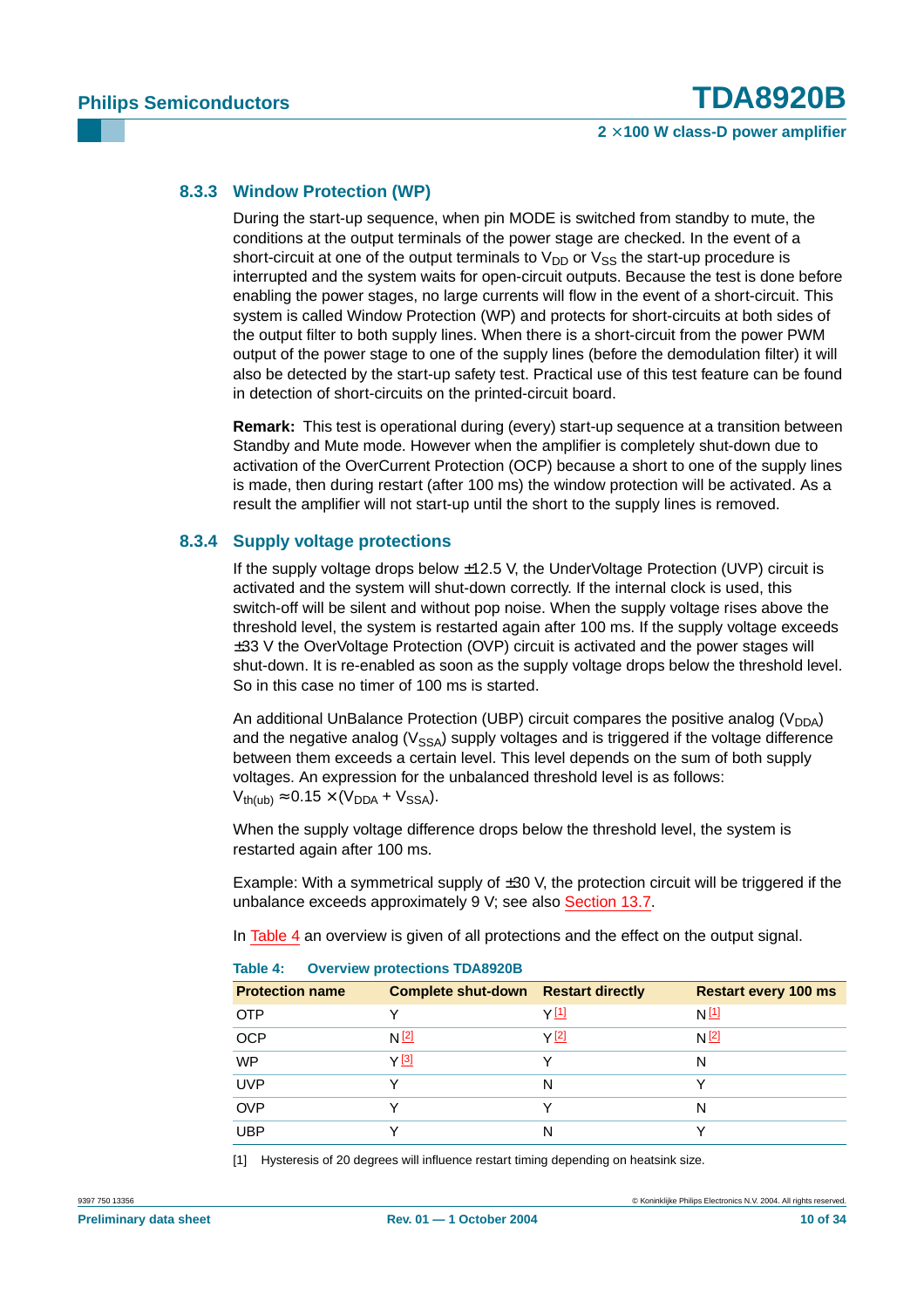#### <span id="page-9-2"></span>**8.3.3 Window Protection (WP)**

During the start-up sequence, when pin MODE is switched from standby to mute, the conditions at the output terminals of the power stage are checked. In the event of a short-circuit at one of the output terminals to  $V_{DD}$  or  $V_{SS}$  the start-up procedure is interrupted and the system waits for open-circuit outputs. Because the test is done before enabling the power stages, no large currents will flow in the event of a short-circuit. This system is called Window Protection (WP) and protects for short-circuits at both sides of the output filter to both supply lines. When there is a short-circuit from the power PWM output of the power stage to one of the supply lines (before the demodulation filter) it will also be detected by the start-up safety test. Practical use of this test feature can be found in detection of short-circuits on the printed-circuit board.

**Remark:** This test is operational during (every) start-up sequence at a transition between Standby and Mute mode. However when the amplifier is completely shut-down due to activation of the OverCurrent Protection (OCP) because a short to one of the supply lines is made, then during restart (after 100 ms) the window protection will be activated. As a result the amplifier will not start-up until the short to the supply lines is removed.

#### <span id="page-9-3"></span>**8.3.4 Supply voltage protections**

If the supply voltage drops below  $\pm$ 12.5 V, the UnderVoltage Protection (UVP) circuit is activated and the system will shut-down correctly. If the internal clock is used, this switch-off will be silent and without pop noise. When the supply voltage rises above the threshold level, the system is restarted again after 100 ms. If the supply voltage exceeds ±33 V the OverVoltage Protection (OVP) circuit is activated and the power stages will shut-down. It is re-enabled as soon as the supply voltage drops below the threshold level. So in this case no timer of 100 ms is started.

An additional UnBalance Protection (UBP) circuit compares the positive analog ( $V<sub>DDA</sub>$ ) and the negative analog ( $V_{SSA}$ ) supply voltages and is triggered if the voltage difference between them exceeds a certain level. This level depends on the sum of both supply voltages. An expression for the unbalanced threshold level is as follows:  $V_{th(ub)} \approx 0.15 \times (V_{DDA} + V_{SSA}).$ 

When the supply voltage difference drops below the threshold level, the system is restarted again after 100 ms.

Example: With a symmetrical supply of  $\pm 30$  V, the protection circuit will be triggered if the unbalance exceeds approximately 9 V; see also [Section](#page-18-0) 13.7.

In [Table](#page-9-1) 4 an overview is given of all protections and the effect on the output signal.

| <b>Protection name</b> | <b>Complete shut-down Restart directly</b> |       | <b>Restart every 100 ms</b> |  |  |  |  |  |
|------------------------|--------------------------------------------|-------|-----------------------------|--|--|--|--|--|
| <b>OTP</b>             |                                            | Y[1]  | N[1]                        |  |  |  |  |  |
| <b>OCP</b>             | N <sup>[2]</sup>                           | Y [2] | N <sup>[2]</sup>            |  |  |  |  |  |
| <b>WP</b>              | Y[3]                                       | v     | N                           |  |  |  |  |  |
| <b>UVP</b>             |                                            | N     |                             |  |  |  |  |  |
| <b>OVP</b>             |                                            | ◡     | N                           |  |  |  |  |  |
| <b>UBP</b>             |                                            | N     |                             |  |  |  |  |  |
|                        |                                            |       |                             |  |  |  |  |  |

<span id="page-9-1"></span>

| <b>Overview protections TDA8920B</b><br>Table 4: |
|--------------------------------------------------|
|--------------------------------------------------|

<span id="page-9-0"></span>[1] Hysteresis of 20 degrees will influence restart timing depending on heatsink size.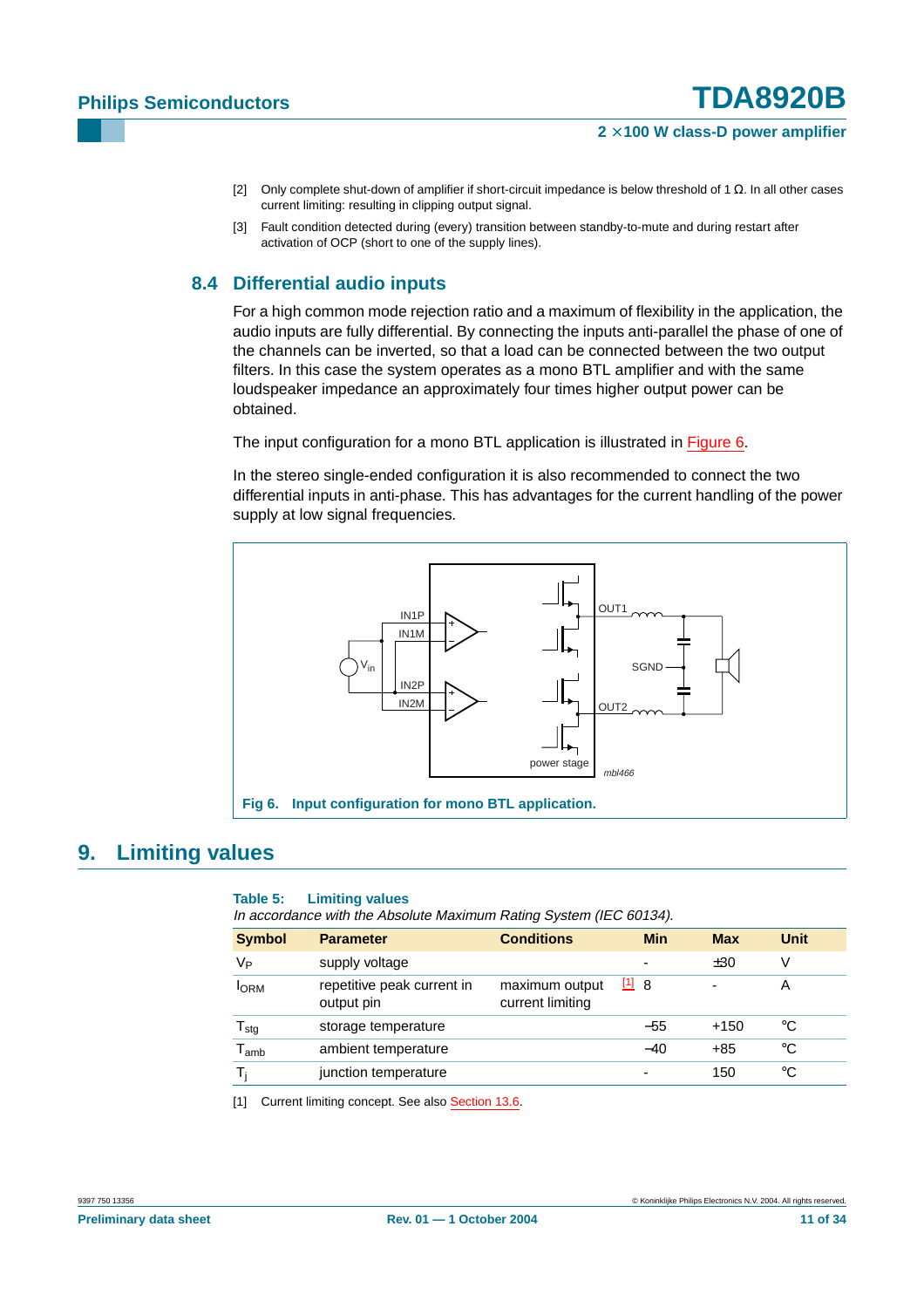- <span id="page-10-0"></span>[2] Only complete shut-down of amplifier if short-circuit impedance is below threshold of 1 Ω. In all other cases current limiting: resulting in clipping output signal.
- <span id="page-10-1"></span>[3] Fault condition detected during (every) transition between standby-to-mute and during restart after activation of OCP (short to one of the supply lines).

### <span id="page-10-4"></span>**8.4 Differential audio inputs**

For a high common mode rejection ratio and a maximum of flexibility in the application, the audio inputs are fully differential. By connecting the inputs anti-parallel the phase of one of the channels can be inverted, so that a load can be connected between the two output filters. In this case the system operates as a mono BTL amplifier and with the same loudspeaker impedance an approximately four times higher output power can be obtained.

The input configuration for a mono BTL application is illustrated in [Figure](#page-10-2) 6.

In the stereo single-ended configuration it is also recommended to connect the two differential inputs in anti-phase. This has advantages for the current handling of the power supply at low signal frequencies.



## <span id="page-10-5"></span>**9. Limiting values**

#### <span id="page-10-2"></span>**Table 5: Limiting values**

In accordance with the Absolute Maximum Rating System (IEC 60134).

| <b>Symbol</b>                | <b>Parameter</b>                         | <b>Conditions</b>                  | <b>Min</b>    | <b>Max</b> | <b>Unit</b> |
|------------------------------|------------------------------------------|------------------------------------|---------------|------------|-------------|
| V <sub>Р</sub>               | supply voltage                           |                                    | -             | ±30        | v           |
| <b>I</b> ORM                 | repetitive peak current in<br>output pin | maximum output<br>current limiting | $\boxed{1}$ 8 | ٠          | A           |
| ${\mathsf T}_{\textsf{stg}}$ | storage temperature                      |                                    | $-55$         | $+150$     | °C          |
| $\mathsf{T}_{\mathsf{amb}}$  | ambient temperature                      |                                    | $-40$         | $+85$      | °C          |
| т.                           | junction temperature                     |                                    | -             | 150        | °C          |

<span id="page-10-3"></span>[1] Current limiting concept. See also [Section](#page-17-0) 13.6.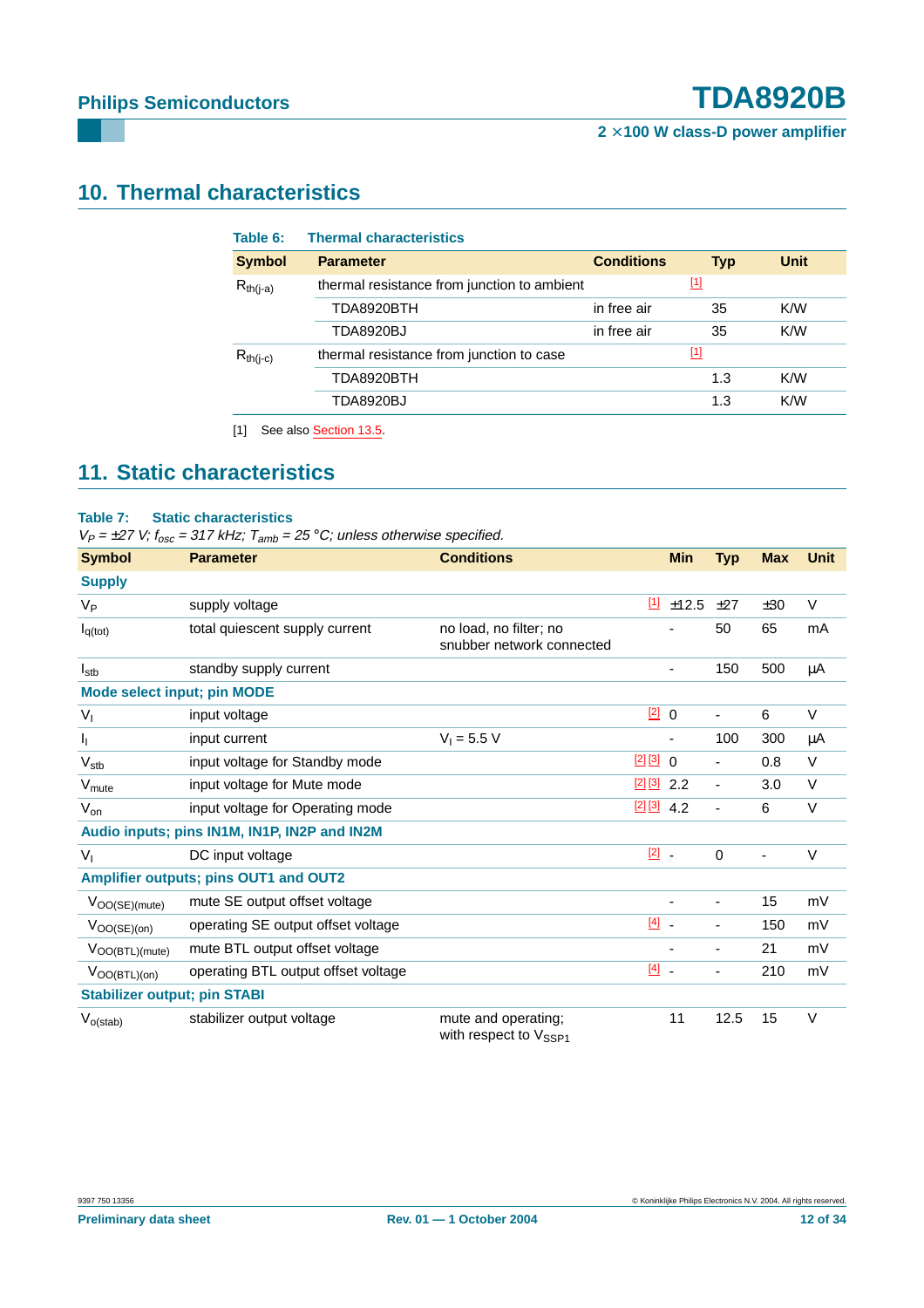# <span id="page-11-1"></span>**10. Thermal characteristics**

| <b>Symbol</b> | <b>Parameter</b>                            | <b>Conditions</b> | <b>Typ</b>  | <b>Unit</b> |
|---------------|---------------------------------------------|-------------------|-------------|-------------|
| $R_{th(i-a)}$ | thermal resistance from junction to ambient |                   | $\boxed{1}$ |             |
|               | TDA8920BTH                                  | in free air       | 35          | K/W         |
|               | <b>TDA8920BJ</b>                            | in free air       | 35          | K/W         |
| $R_{th(i-c)}$ | thermal resistance from junction to case    |                   | $\boxed{1}$ |             |
|               | TDA8920BTH                                  |                   | 1.3         | K/W         |
|               | TDA8920BJ                                   |                   | 1.3         | K/W         |

# <span id="page-11-2"></span><span id="page-11-0"></span>**11. Static characteristics**

#### **Table 7: Static characteristics**

 $V_P = \pm 27$  V;  $f_{osc} = 317$  kHz;  $T_{amb} = 25$  °C; unless otherwise specified.

| <b>Symbol</b>                         | <b>Parameter</b>                             | <b>Conditions</b>                                        |               | <b>Min</b>               | <b>Typ</b>               | <b>Max</b>               | <b>Unit</b> |
|---------------------------------------|----------------------------------------------|----------------------------------------------------------|---------------|--------------------------|--------------------------|--------------------------|-------------|
| <b>Supply</b>                         |                                              |                                                          |               |                          |                          |                          |             |
| $V_{P}$                               | supply voltage                               |                                                          | $[1]$         | ±12.5                    | ±27                      | ±30                      | $\vee$      |
| $I_{q(tot)}$                          | total quiescent supply current               | no load, no filter; no<br>snubber network connected      |               |                          | 50                       | 65                       | mA          |
| $I_{\text{stb}}$                      | standby supply current                       |                                                          |               | $\overline{\phantom{a}}$ | 150                      | 500                      | μA          |
| Mode select input; pin MODE           |                                              |                                                          |               |                          |                          |                          |             |
| $V_{I}$                               | input voltage                                |                                                          | $\boxed{2}$ 0 |                          | $\blacksquare$           | 6                        | $\vee$      |
| I <sub>I</sub>                        | input current                                | $V_1 = 5.5 V$                                            |               |                          | 100                      | 300                      | μA          |
| $V_{\text{stb}}$                      | input voltage for Standby mode               |                                                          | $[2][3]$      | $\Omega$                 | $\blacksquare$           | 0.8                      | $\vee$      |
| V <sub>mute</sub>                     | input voltage for Mute mode                  |                                                          | $[2] [3]$     | 2.2                      | $\blacksquare$           | 3.0                      | $\vee$      |
| $V_{on}$                              | input voltage for Operating mode             |                                                          | $[2] [3]$     | 4.2                      | $\blacksquare$           | 6                        | $\vee$      |
|                                       | Audio inputs; pins IN1M, IN1P, IN2P and IN2M |                                                          |               |                          |                          |                          |             |
| $V_{I}$                               | DC input voltage                             |                                                          | $\boxed{2}$ . |                          | $\mathbf 0$              | $\overline{\phantom{m}}$ | $\vee$      |
| Amplifier outputs; pins OUT1 and OUT2 |                                              |                                                          |               |                          |                          |                          |             |
| V <sub>OO(SE)(mute)</sub> I           | mute SE output offset voltage                |                                                          |               | $\overline{\phantom{a}}$ | $\overline{\phantom{a}}$ | 15                       | mV          |
| $ V_{\text{OO(SE)(on)}} $             | operating SE output offset voltage           |                                                          | $[4]$ $-$     |                          | ä,                       | 150                      | mV          |
| V <sub>OO(BTL)(mute)</sub> l          | mute BTL output offset voltage               |                                                          |               | $\overline{\phantom{a}}$ | $\overline{\phantom{a}}$ | 21                       | mV          |
| $ V_{OO(BTL)(on)} $                   | operating BTL output offset voltage          |                                                          | $[4]$         |                          | ÷,                       | 210                      | mV          |
| <b>Stabilizer output; pin STABI</b>   |                                              |                                                          |               |                          |                          |                          |             |
| $V_{o(stat)}$                         | stabilizer output voltage                    | mute and operating;<br>with respect to V <sub>SSP1</sub> |               | 11                       | 12.5                     | 15                       | $\vee$      |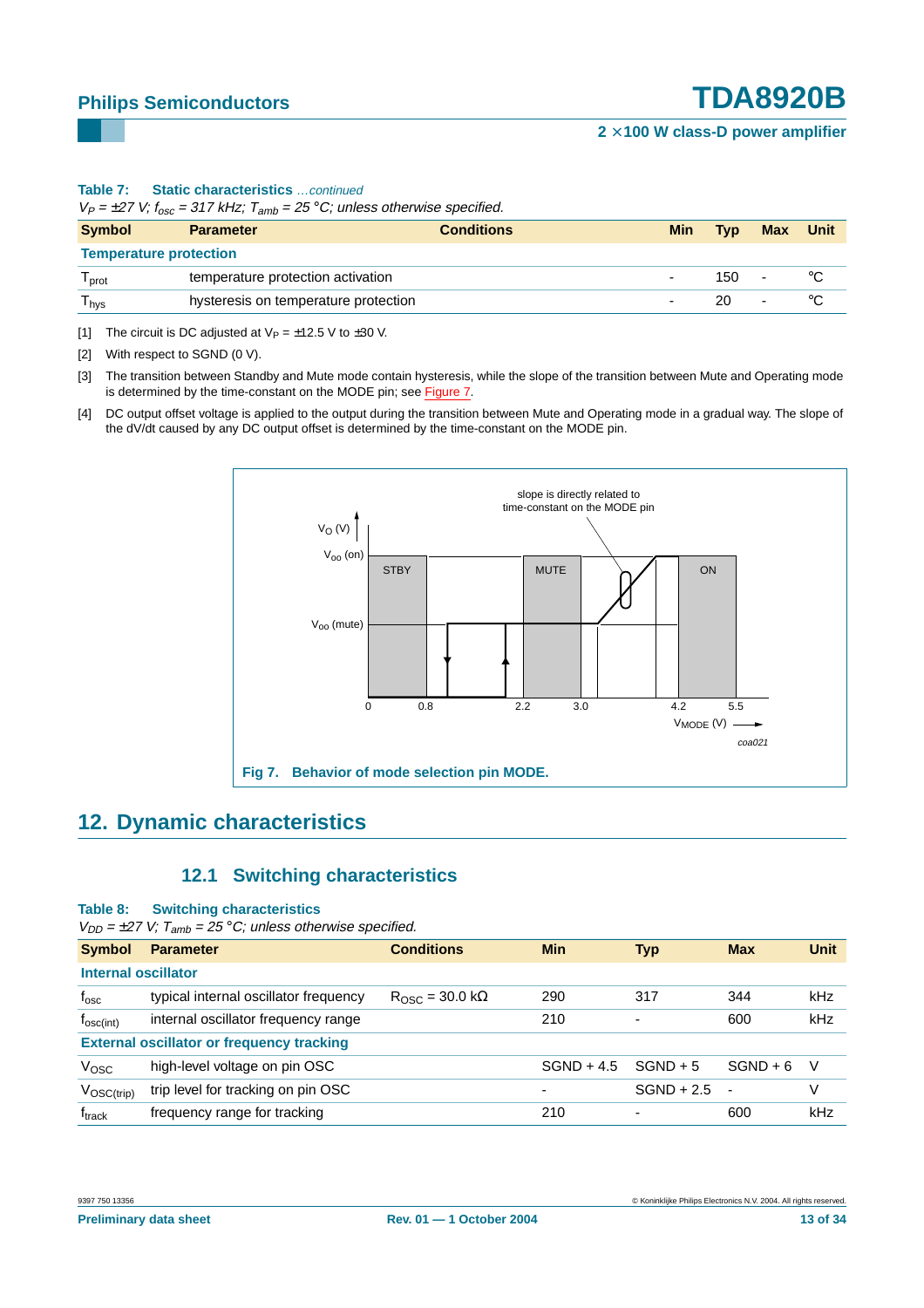#### **Table 7: Static characteristics** …continued

 $V_P = \pm 27$  V;  $f_{osc} = 317$  kHz;  $T_{amb} = 25$  °C; unless otherwise specified.

| <b>Symbol</b>                 | <b>Parameter</b>                     | <b>Conditions</b> | <b>Min</b>               | Typ  | <b>Max</b>               | <b>Unit</b> |
|-------------------------------|--------------------------------------|-------------------|--------------------------|------|--------------------------|-------------|
| <b>Temperature protection</b> |                                      |                   |                          |      |                          |             |
| <sup>1</sup> prot             | temperature protection activation    |                   |                          | 150. | $\overline{\phantom{0}}$ |             |
| <sup>I</sup> hys              | hysteresis on temperature protection |                   | $\overline{\phantom{a}}$ | 20.  | $\overline{\phantom{0}}$ |             |

<span id="page-12-0"></span>[1] The circuit is DC adjusted at  $V_P = \pm 12.5$  V to  $\pm 30$  V.

<span id="page-12-1"></span>[2] With respect to SGND (0 V).

<span id="page-12-2"></span>[3] The transition between Standby and Mute mode contain hysteresis, while the slope of the transition between Mute and Operating mode is determined by the time-constant on the MODE pin; see [Figure](#page-12-4) 7.

<span id="page-12-3"></span>[4] DC output offset voltage is applied to the output during the transition between Mute and Operating mode in a gradual way. The slope of the dV/dt caused by any DC output offset is determined by the time-constant on the MODE pin.



## <span id="page-12-6"></span>**12. Dynamic characteristics**

### <span id="page-12-4"></span>**12.1 Switching characteristics**

#### <span id="page-12-5"></span>**Table 8: Switching characteristics**

 $V_{DD} = \pm 27$  V;  $T_{amb} = 25$  °C; unless otherwise specified.

| <b>Symbol</b>                                    | <b>Parameter</b>                      | <b>Conditions</b>               | <b>Min</b>   | <b>Typ</b>               | <b>Max</b>     | <b>Unit</b> |  |  |  |
|--------------------------------------------------|---------------------------------------|---------------------------------|--------------|--------------------------|----------------|-------------|--|--|--|
|                                                  | Internal oscillator                   |                                 |              |                          |                |             |  |  |  |
| $f_{\rm osc}$                                    | typical internal oscillator frequency | $R_{\rm OSC}$ = 30.0 k $\Omega$ | 290          | 317                      | 344            | kHz         |  |  |  |
| $f_{\text{osc(int)}}$                            | internal oscillator frequency range   |                                 | 210          | $\overline{\phantom{a}}$ | 600            | kHz         |  |  |  |
| <b>External oscillator or frequency tracking</b> |                                       |                                 |              |                          |                |             |  |  |  |
| V <sub>OSC</sub>                                 | high-level voltage on pin OSC         |                                 | $SGND + 4.5$ | $SGND + 5$               | $SGND + 6$     | V           |  |  |  |
| $V_{\text{OSC(trip)}}$                           | trip level for tracking on pin OSC    |                                 | -            | $SGND + 2.5$             | $\blacksquare$ | V           |  |  |  |
| $f_{\sf track}$                                  | frequency range for tracking          |                                 | 210          | ٠                        | 600            | kHz         |  |  |  |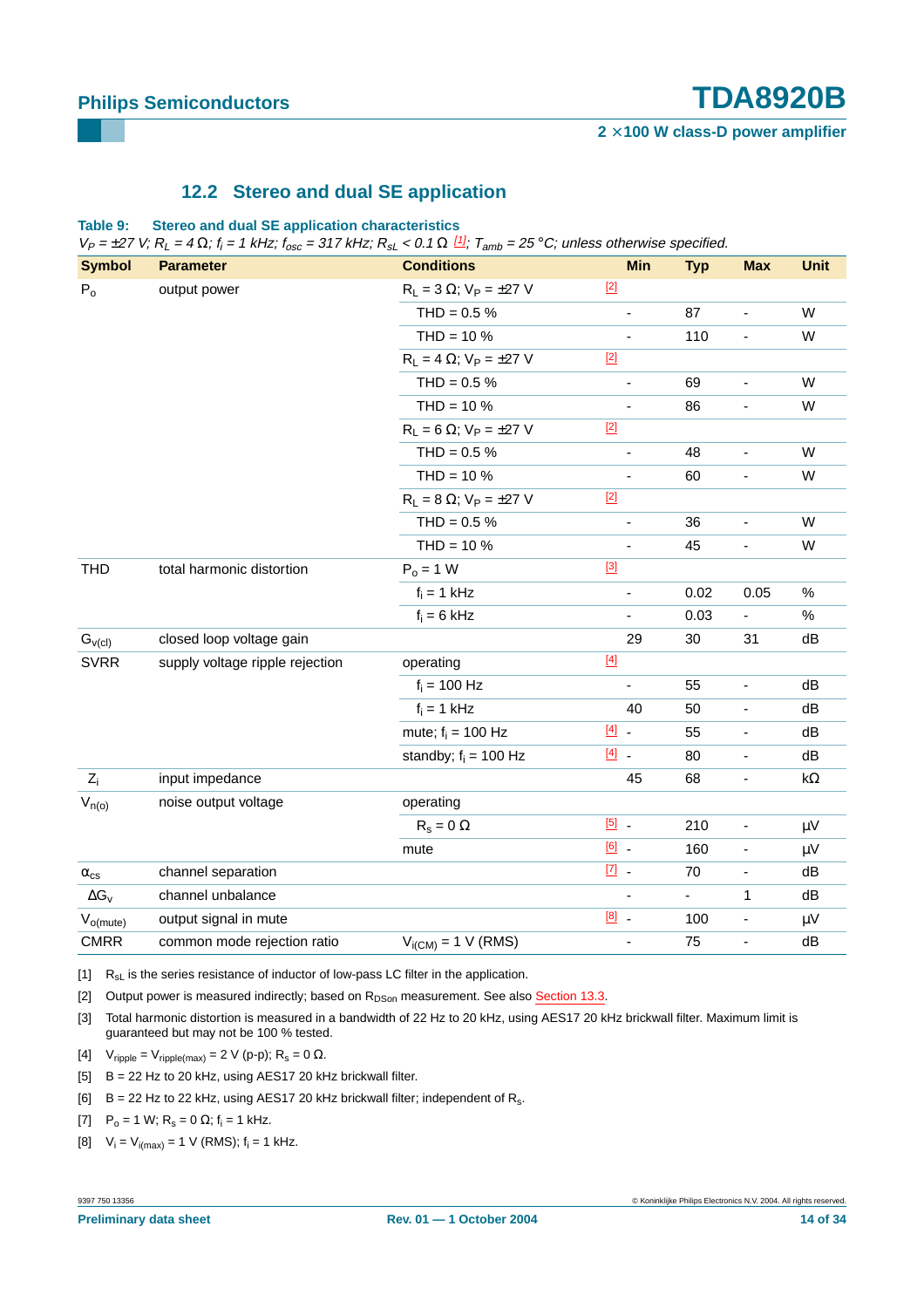### **12.2 Stereo and dual SE application**

<span id="page-13-8"></span>**Table 9: Stereo and dual SE application characteristics**

 $V_P = \pm 27$  V;  $R_L = 4 \Omega$ ;  $f_i = 1$  kHz;  $f_{osc} = 317$  kHz;  $R_{sL} < 0.1 \Omega$   $\frac{[1]}{2}$  $\frac{[1]}{2}$  $\frac{[1]}{2}$ ;  $T_{amb} = 25$  °C; unless otherwise specified.

| <b>Symbol</b>        | <b>Parameter</b>                | <b>Conditions</b>                   |               | <b>Min</b>               | <b>Typ</b>     | <b>Max</b>                   | <b>Unit</b> |
|----------------------|---------------------------------|-------------------------------------|---------------|--------------------------|----------------|------------------------------|-------------|
| $P_0$                | output power                    | $R_L = 3 \Omega$ ; $V_P = \pm 27 V$ | $[2]$         |                          |                |                              |             |
|                      |                                 | $THD = 0.5 %$                       |               | ÷,                       | 87             | $\frac{1}{2}$                | W           |
|                      |                                 | $THD = 10 \%$                       |               | $\overline{\phantom{0}}$ | 110            | ÷,                           | W           |
|                      |                                 | $R_L = 4 \Omega$ ; $V_P = \pm 27 V$ | $[2]$         |                          |                |                              |             |
|                      |                                 | $THD = 0.5 %$                       |               |                          | 69             | ÷,                           | W           |
|                      |                                 | $THD = 10 \%$                       |               | $\overline{\phantom{0}}$ | 86             | $\blacksquare$               | W           |
|                      |                                 | $R_L = 6 \Omega$ ; $V_P = \pm 27 V$ | $[2]$         |                          |                |                              |             |
|                      |                                 | $THD = 0.5 %$                       |               | $\overline{\phantom{0}}$ | 48             | $\overline{\phantom{a}}$     | W           |
|                      |                                 | $THD = 10 \%$                       |               |                          | 60             | $\blacksquare$               | W           |
|                      |                                 | $R_L = 8 \Omega$ ; $V_P = \pm 27 V$ | $[2]$         |                          |                |                              |             |
|                      |                                 | $THD = 0.5 %$                       |               | $\overline{\phantom{0}}$ | 36             | $\blacksquare$               | W           |
|                      |                                 | $THD = 10 \%$                       |               |                          | 45             | $\blacksquare$               | W           |
| <b>THD</b>           | total harmonic distortion       | $P_0 = 1 W$                         | $[3]$         |                          |                |                              |             |
|                      |                                 | $f_i = 1$ kHz                       |               | $\overline{\phantom{0}}$ | 0.02           | 0.05                         | $\%$        |
|                      |                                 | $f_i = 6$ kHz                       |               | L,                       | 0.03           | $\blacksquare$               | $\%$        |
| $G_{\nu(cl)}$        | closed loop voltage gain        |                                     |               | 29                       | 30             | 31                           | dB          |
| <b>SVRR</b>          | supply voltage ripple rejection | operating                           | $[4]$         |                          |                |                              |             |
|                      |                                 | $f_i = 100$ Hz                      |               |                          | 55             | $\qquad \qquad \blacksquare$ | dB          |
|                      |                                 | $f_i = 1$ kHz                       |               | 40                       | 50             | $\blacksquare$               | dB          |
|                      |                                 | mute; $f_i = 100$ Hz                | $[4]$ .       |                          | 55             | $\qquad \qquad \blacksquare$ | dB          |
|                      |                                 | standby; $f_i = 100$ Hz             | $[4]$ .       |                          | 80             | $\blacksquare$               | dB          |
| $ Z_i $              | input impedance                 |                                     |               | 45                       | 68             | $\blacksquare$               | $k\Omega$   |
| $V_{n(o)}$           | noise output voltage            | operating                           |               |                          |                |                              |             |
|                      |                                 | $R_s = 0 \Omega$                    | $\boxed{5}$ . |                          | 210            | $\blacksquare$               | $\mu V$     |
|                      |                                 | mute                                | $[6]$ .       |                          | 160            | $\blacksquare$               | μV          |
| $\alpha_{\text{cs}}$ | channel separation              |                                     | $\boxed{7}$ . |                          | 70             | $\frac{1}{2}$                | dB          |
| $ \Delta G_{V} $     | channel unbalance               |                                     |               | ÷,                       | $\blacksquare$ | 1                            | dB          |
| $V_{o(mute)}$        | output signal in mute           |                                     | $[8]$ .       |                          | 100            | $\blacksquare$               | $\mu V$     |
| <b>CMRR</b>          | common mode rejection ratio     | $V_{i(CM)} = 1$ V (RMS)             |               | ÷,                       | 75             | ÷,                           | dB          |

<span id="page-13-0"></span> $\begin{bmatrix} 1 \end{bmatrix}$  R<sub>sL</sub> is the series resistance of inductor of low-pass LC filter in the application.

<span id="page-13-1"></span>[2] Output power is measured indirectly; based on R<sub>DSon</sub> measurement. See also [Section](#page-15-0) 13.3.

<span id="page-13-2"></span>[3] Total harmonic distortion is measured in a bandwidth of 22 Hz to 20 kHz, using AES17 20 kHz brickwall filter. Maximum limit is guaranteed but may not be 100 % tested.

<span id="page-13-3"></span>[4]  $V_{\text{ripole}} = V_{\text{ripole(max)}} = 2 \text{ V (p-p)}$ ;  $R_s = 0 \Omega$ .

<span id="page-13-4"></span>[5] B = 22 Hz to 20 kHz, using AES17 20 kHz brickwall filter.

<span id="page-13-5"></span> $[6]$  B = 22 Hz to 22 kHz, using AES17 20 kHz brickwall filter; independent of R<sub>s</sub>.

<span id="page-13-6"></span>[7]  $P_0 = 1$  W;  $R_s = 0$  Ω;  $f_i = 1$  kHz.

<span id="page-13-7"></span>[8]  $V_i = V_{i(max)} = 1$  V (RMS);  $f_i = 1$  kHz.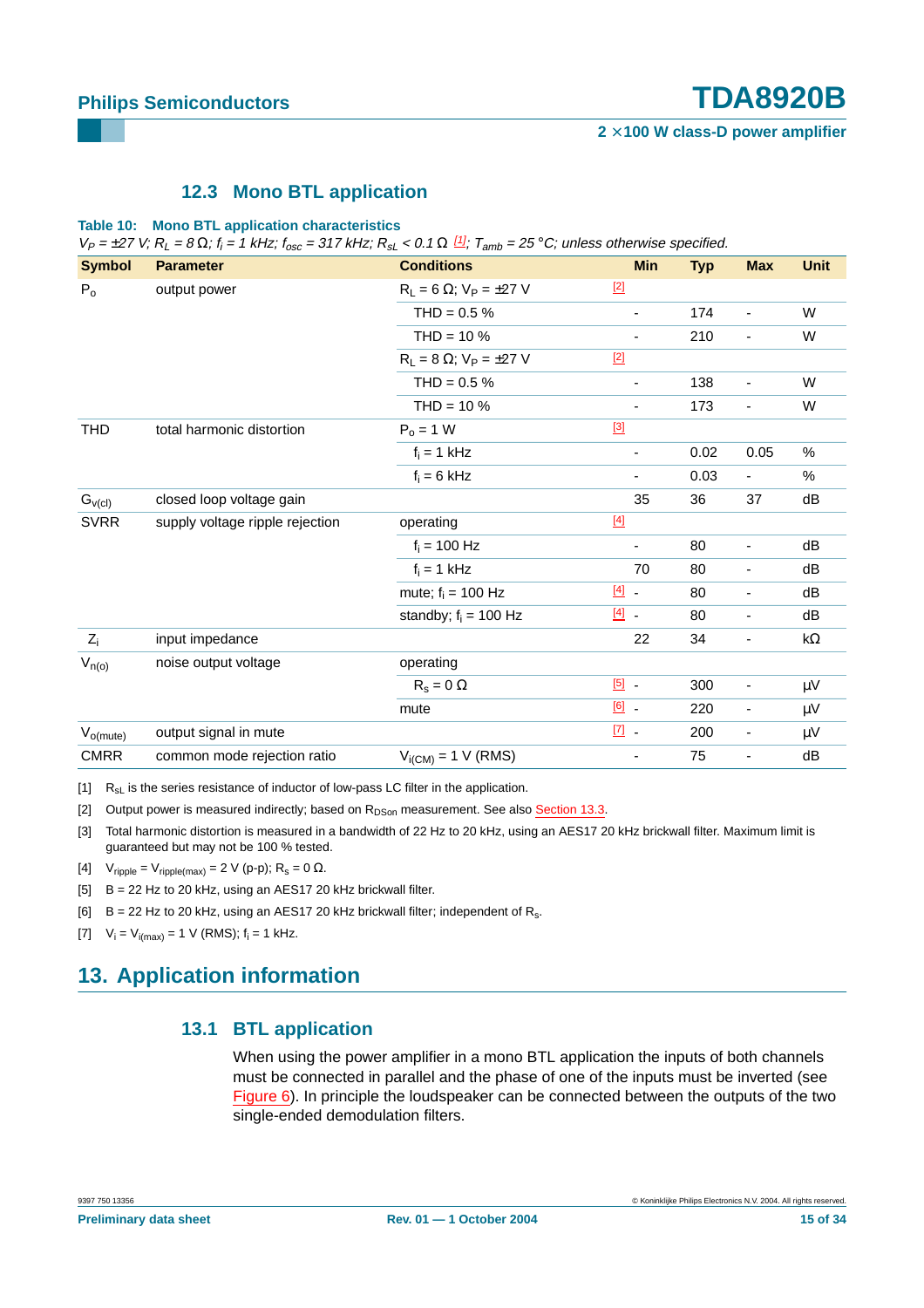#### **12.3 Mono BTL application**

#### <span id="page-14-7"></span>**Table 10: Mono BTL application characteristics**

 $V_P = \pm 27$  V;  $R_L = 8 \Omega$ ;  $f_i = 1$  kHz;  $f_{osc} = 317$  kHz;  $R_{sL} < 0.1 \Omega$   $\frac{[1]}{3}$  $\frac{[1]}{3}$  $\frac{[1]}{3}$ ;  $T_{amb} = 25$  °C; unless otherwise specified.

| <b>Symbol</b>                                    | <b>Parameter</b>                | <b>Conditions</b>                   |               | <b>Min</b>               | <b>Typ</b> | <b>Max</b>               | <b>Unit</b> |
|--------------------------------------------------|---------------------------------|-------------------------------------|---------------|--------------------------|------------|--------------------------|-------------|
| $P_0$                                            | output power                    | $R_L = 6 \Omega$ ; $V_P = \pm 27 V$ | $[2]$         |                          |            |                          |             |
|                                                  |                                 | $THD = 0.5 %$                       |               | $\overline{\phantom{a}}$ | 174        | $\blacksquare$           | W           |
|                                                  |                                 | $THD = 10 %$                        |               | $\overline{\phantom{a}}$ | 210        | $\overline{\phantom{a}}$ | W           |
|                                                  |                                 | $R_L = 8 \Omega$ ; $V_P = \pm 27 V$ | $[2]$         |                          |            |                          |             |
|                                                  |                                 | THD = $0.5%$                        |               | $\overline{\phantom{a}}$ | 138        | $\blacksquare$           | W           |
|                                                  |                                 | $THD = 10 %$                        |               | $\overline{\phantom{a}}$ | 173        | $\overline{\phantom{a}}$ | W           |
| <b>THD</b>                                       | total harmonic distortion       | $P_0 = 1 W$                         | $[3]$         |                          |            |                          |             |
|                                                  |                                 | $f_i = 1$ kHz                       |               | $\overline{\phantom{a}}$ | 0.02       | 0.05                     | %           |
|                                                  |                                 | $f_i = 6$ kHz                       |               | $\overline{\phantom{a}}$ | 0.03       | $\blacksquare$           | %           |
| $G_{\scriptscriptstyle V\left(\text{cl}\right)}$ | closed loop voltage gain        |                                     |               | 35                       | 36         | 37                       | dB          |
| <b>SVRR</b>                                      | supply voltage ripple rejection | operating                           | $[4]$         |                          |            |                          |             |
|                                                  |                                 | $f_i = 100$ Hz                      |               | $\overline{\phantom{a}}$ | 80         | $\overline{\phantom{a}}$ | dB          |
|                                                  |                                 | $f_i = 1$ kHz                       |               | 70                       | 80         | $\overline{\phantom{a}}$ | dB          |
|                                                  |                                 | mute; $f_i = 100$ Hz                | $[4]$         |                          | 80         | $\blacksquare$           | dB          |
|                                                  |                                 | standby; $f_i = 100$ Hz             | $[4]$         |                          | 80         | $\overline{\phantom{a}}$ | dB          |
| $ Z_i $                                          | input impedance                 |                                     |               | 22                       | 34         | $\overline{\phantom{a}}$ | kΩ          |
| $V_{n(o)}$                                       | noise output voltage            | operating                           |               |                          |            |                          |             |
|                                                  |                                 | $R_s = 0 \Omega$                    | $[5]$ .       |                          | 300        | $\blacksquare$           | $\mu$ V     |
|                                                  |                                 | mute                                | $[6]$ .       |                          | 220        | $\overline{\phantom{a}}$ | μV          |
| $V_{o(mute)}$                                    | output signal in mute           |                                     | $\boxed{7}$ . |                          | 200        | $\overline{\phantom{a}}$ | $\mu$ V     |
| <b>CMRR</b>                                      | common mode rejection ratio     | $V_{i(CM)} = 1$ V (RMS)             |               | -                        | 75         | $\blacksquare$           | dB          |

<span id="page-14-0"></span> $[1]$  R<sub>sL</sub> is the series resistance of inductor of low-pass LC filter in the application.

<span id="page-14-1"></span>[2] Output power is measured indirectly; based on R<sub>DSon</sub> measurement. See also [Section](#page-15-0) 13.3.

<span id="page-14-2"></span>[3] Total harmonic distortion is measured in a bandwidth of 22 Hz to 20 kHz, using an AES17 20 kHz brickwall filter. Maximum limit is guaranteed but may not be 100 % tested.

<span id="page-14-3"></span>[4]  $V_{\text{ripole}} = V_{\text{ripole(max)}} = 2 \text{ V (p-p)}$ ;  $R_s = 0 \Omega$ .

<span id="page-14-4"></span>[5] B = 22 Hz to 20 kHz, using an AES17 20 kHz brickwall filter.

<span id="page-14-5"></span> $[6]$  B = 22 Hz to 20 kHz, using an AES17 20 kHz brickwall filter; independent of R<sub>s</sub>.

<span id="page-14-6"></span>[7]  $V_i = V_{i(max)} = 1$  V (RMS);  $f_i = 1$  kHz.

# <span id="page-14-9"></span><span id="page-14-8"></span>**13. Application information**

#### **13.1 BTL application**

When using the power amplifier in a mono BTL application the inputs of both channels must be connected in parallel and the phase of one of the inputs must be inverted (see [Figure](#page-10-2) 6). In principle the loudspeaker can be connected between the outputs of the two single-ended demodulation filters.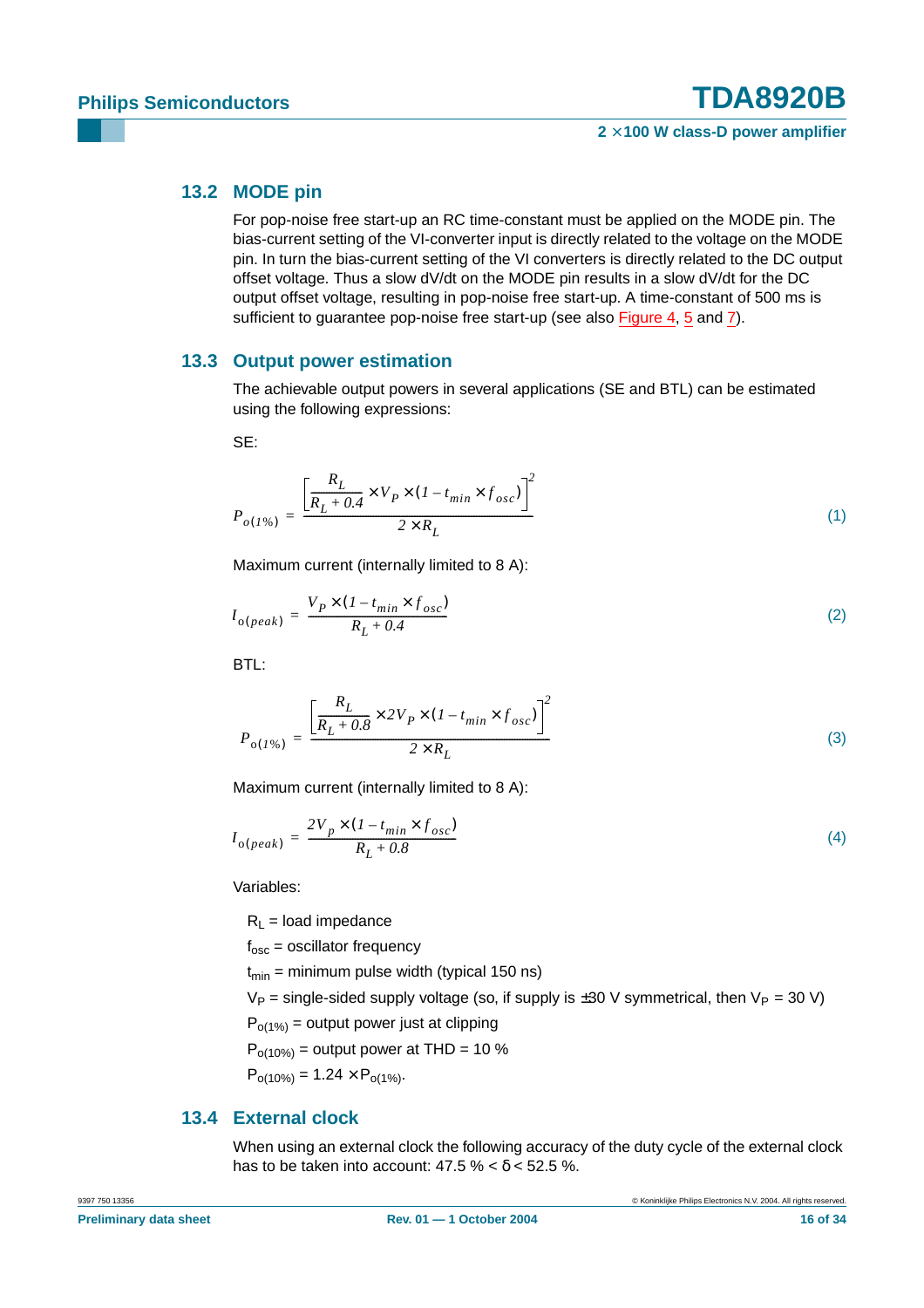#### <span id="page-15-1"></span>**13.2 MODE pin**

For pop-noise free start-up an RC time-constant must be applied on the MODE pin. The bias-current setting of the VI-converter input is directly related to the voltage on the MODE pin. In turn the bias-current setting of the VI converters is directly related to the DC output offset voltage. Thus a slow dV/dt on the MODE pin results in a slow dV/dt for the DC output offset voltage, resulting in pop-noise free start-up. A time-constant of 500 ms is sufficient to quarantee pop-noise free start-up (see also [Figure](#page-5-0) 4, [5](#page-6-0) and [7\)](#page-12-4).

#### <span id="page-15-0"></span>**13.3 Output power estimation**

The achievable output powers in several applications (SE and BTL) can be estimated using the following expressions:

SE:

$$
P_{o(1\%)} = \frac{\left[\frac{R_L}{R_L + 0.4} \times V_P \times (1 - t_{min} \times f_{osc})\right]^2}{2 \times R_L}
$$
\n(1)

Maximum current (internally limited to 8 A):

$$
I_{o(\text{peak})} = \frac{V_P \times (1 - t_{\text{min}} \times f_{\text{osc}})}{R_L + 0.4} \tag{2}
$$

BTL:

$$
P_{o(I\%)} = \frac{\left[\frac{R_L}{R_L + 0.8} \times 2V_P \times (1 - t_{min} \times f_{osc})\right]^2}{2 \times R_L}
$$
(3)

Maximum current (internally limited to 8 A):

$$
I_{o(\text{peak})} = \frac{2V_p \times (1 - t_{\text{min}} \times f_{\text{osc}})}{R_L + 0.8}
$$
\n<sup>(4)</sup>

Variables:

 $R_L$  = load impedance

 $f_{osc}$  = oscillator frequency

 $t_{\text{min}}$  = minimum pulse width (typical 150 ns)

 $V_P$  = single-sided supply voltage (so, if supply is  $\pm 30$  V symmetrical, then  $V_P$  = 30 V)

 $P_{o(1\%)}$  = output power just at clipping

 $P_{o(10\%)}$  = output power at THD = 10 %

 $P_{o(10\%)} = 1.24 \times P_{o(1\%)}$ .

### <span id="page-15-2"></span>**13.4 External clock**

When using an external clock the following accuracy of the duty cycle of the external clock has to be taken into account:  $47.5\% < \delta < 52.5\%$ .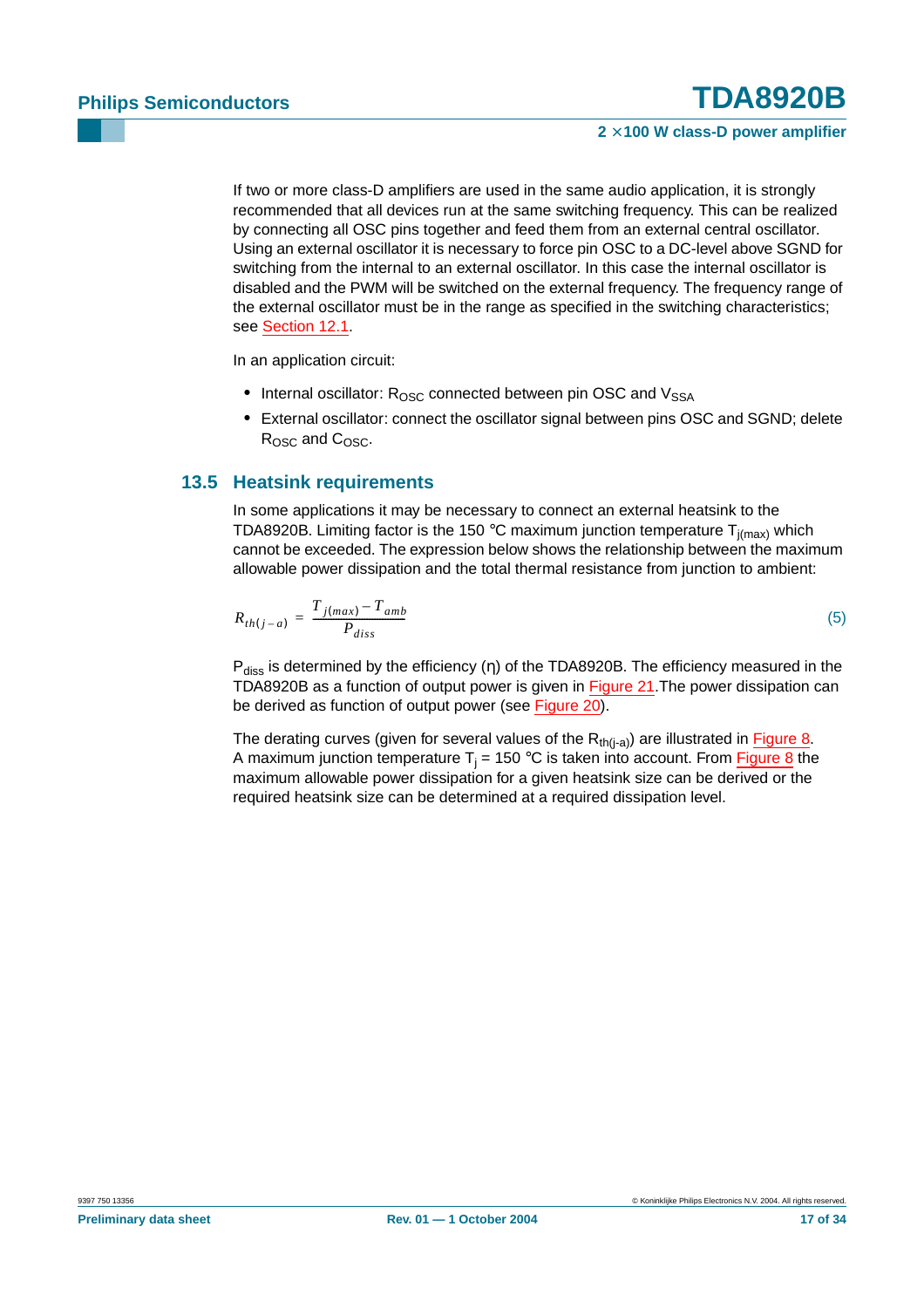If two or more class-D amplifiers are used in the same audio application, it is strongly recommended that all devices run at the same switching frequency. This can be realized by connecting all OSC pins together and feed them from an external central oscillator. Using an external oscillator it is necessary to force pin OSC to a DC-level above SGND for switching from the internal to an external oscillator. In this case the internal oscillator is disabled and the PWM will be switched on the external frequency. The frequency range of the external oscillator must be in the range as specified in the switching characteristics; see [Section](#page-12-5) 12.1.

In an application circuit:

- Internal oscillator: R<sub>OSC</sub> connected between pin OSC and V<sub>SSA</sub>
- **•** External oscillator: connect the oscillator signal between pins OSC and SGND; delete  $R<sub>OSC</sub>$  and  $C<sub>OSC</sub>$ .

#### <span id="page-16-0"></span>**13.5 Heatsink requirements**

In some applications it may be necessary to connect an external heatsink to the TDA8920B. Limiting factor is the 150 °C maximum junction temperature  $T_{j(max)}$  which cannot be exceeded. The expression below shows the relationship between the maximum allowable power dissipation and the total thermal resistance from junction to ambient:

$$
R_{th(j-a)} = \frac{T_{j(max)} - T_{amb}}{P_{diss}}
$$
\n
$$
\tag{5}
$$

 $P_{\text{diss}}$  is determined by the efficiency (η) of the TDA8920B. The efficiency measured in the TDA8920B as a function of output power is given in [Figure](#page-23-0) 21. The power dissipation can be derived as function of output power (see [Figure](#page-23-1) 20).

The derating curves (given for several values of the  $R_{th(i-a)}$ ) are illustrated in [Figure](#page-17-1) 8. A maximum junction temperature  $T_i = 150$  °C is taken into account. From [Figure](#page-17-1) 8 the maximum allowable power dissipation for a given heatsink size can be derived or the required heatsink size can be determined at a required dissipation level.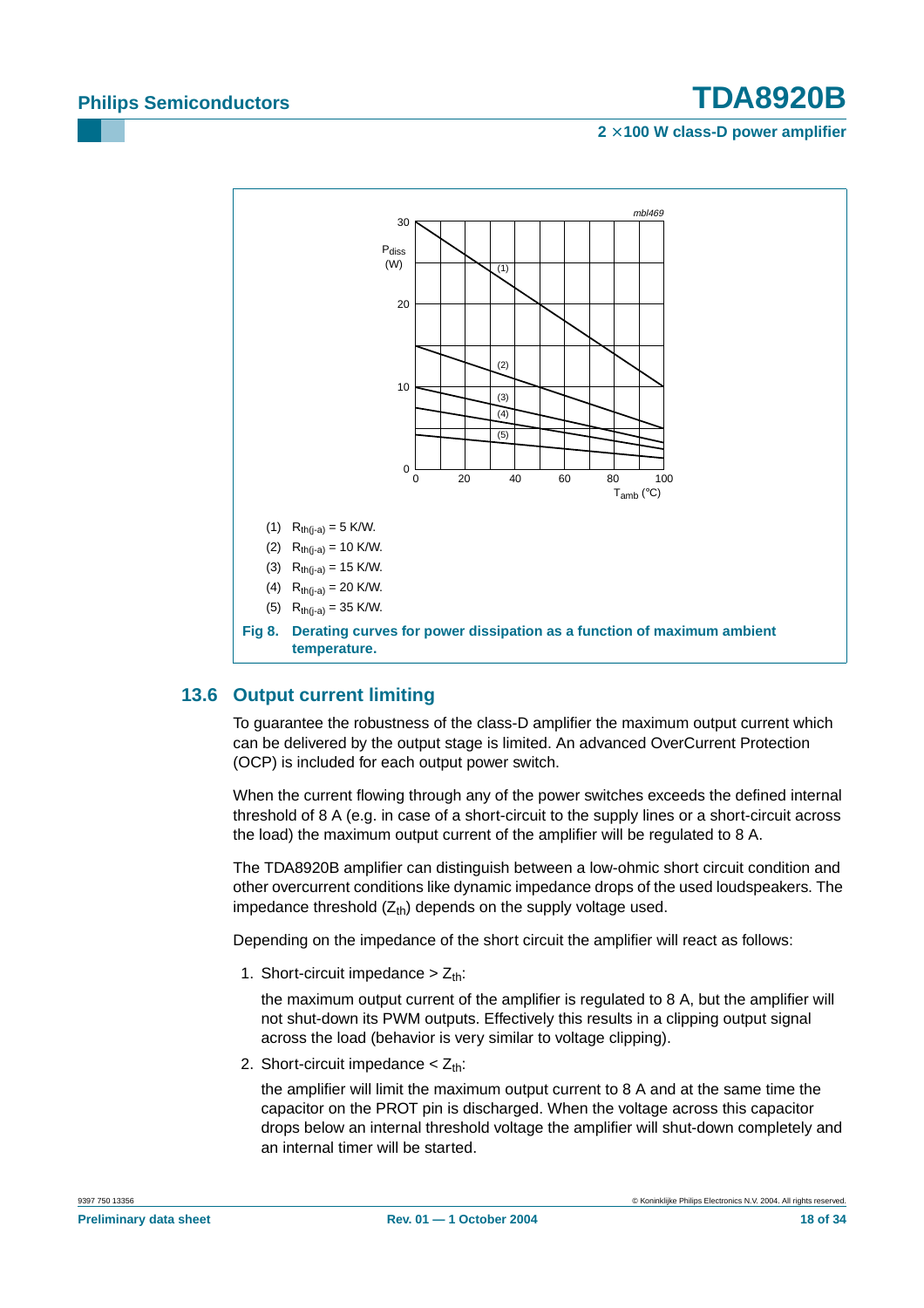#### **2** × **100 W class-D power amplifier**



### <span id="page-17-1"></span><span id="page-17-0"></span>**13.6 Output current limiting**

To guarantee the robustness of the class-D amplifier the maximum output current which can be delivered by the output stage is limited. An advanced OverCurrent Protection (OCP) is included for each output power switch.

When the current flowing through any of the power switches exceeds the defined internal threshold of 8 A (e.g. in case of a short-circuit to the supply lines or a short-circuit across the load) the maximum output current of the amplifier will be regulated to 8 A.

The TDA8920B amplifier can distinguish between a low-ohmic short circuit condition and other overcurrent conditions like dynamic impedance drops of the used loudspeakers. The impedance threshold  $(Z<sub>th</sub>)$  depends on the supply voltage used.

Depending on the impedance of the short circuit the amplifier will react as follows:

1. Short-circuit impedance  $> Z_{th}$ :

the maximum output current of the amplifier is regulated to 8 A, but the amplifier will not shut-down its PWM outputs. Effectively this results in a clipping output signal across the load (behavior is very similar to voltage clipping).

2. Short-circuit impedance  $<$  Z<sub>th</sub>:

the amplifier will limit the maximum output current to 8 A and at the same time the capacitor on the PROT pin is discharged. When the voltage across this capacitor drops below an internal threshold voltage the amplifier will shut-down completely and an internal timer will be started.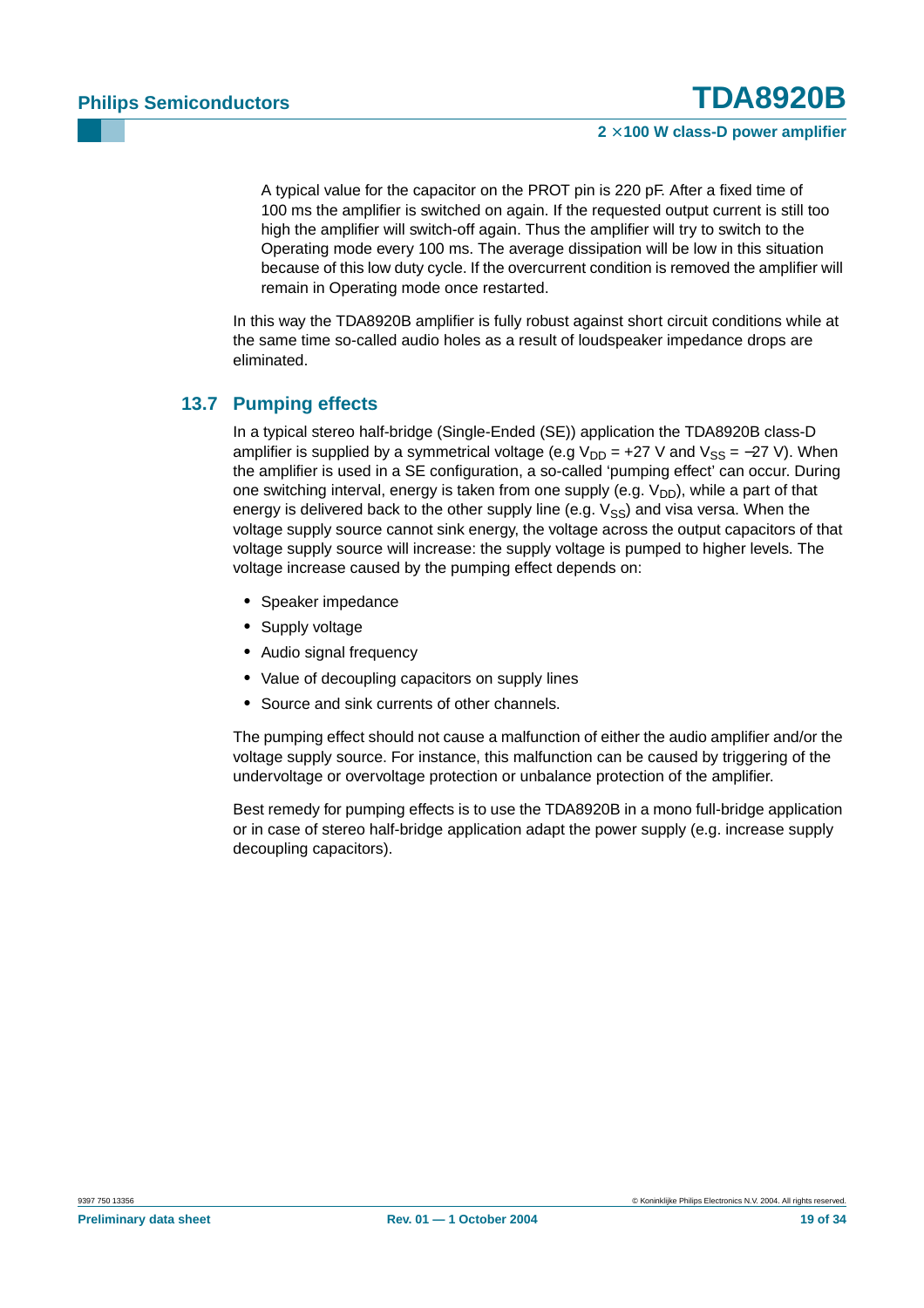A typical value for the capacitor on the PROT pin is 220 pF. After a fixed time of 100 ms the amplifier is switched on again. If the requested output current is still too high the amplifier will switch-off again. Thus the amplifier will try to switch to the Operating mode every 100 ms. The average dissipation will be low in this situation because of this low duty cycle. If the overcurrent condition is removed the amplifier will remain in Operating mode once restarted.

In this way the TDA8920B amplifier is fully robust against short circuit conditions while at the same time so-called audio holes as a result of loudspeaker impedance drops are eliminated.

### <span id="page-18-0"></span>**13.7 Pumping effects**

In a typical stereo half-bridge (Single-Ended (SE)) application the TDA8920B class-D amplifier is supplied by a symmetrical voltage (e.g  $V_{DD}$  = +27 V and  $V_{SS}$  = -27 V). When the amplifier is used in a SE configuration, a so-called 'pumping effect' can occur. During one switching interval, energy is taken from one supply (e.g.  $V_{DD}$ ), while a part of that energy is delivered back to the other supply line (e.g.  $V_{SS}$ ) and visa versa. When the voltage supply source cannot sink energy, the voltage across the output capacitors of that voltage supply source will increase: the supply voltage is pumped to higher levels. The voltage increase caused by the pumping effect depends on:

- **•** Speaker impedance
- **•** Supply voltage
- **•** Audio signal frequency
- **•** Value of decoupling capacitors on supply lines
- **•** Source and sink currents of other channels.

The pumping effect should not cause a malfunction of either the audio amplifier and/or the voltage supply source. For instance, this malfunction can be caused by triggering of the undervoltage or overvoltage protection or unbalance protection of the amplifier.

Best remedy for pumping effects is to use the TDA8920B in a mono full-bridge application or in case of stereo half-bridge application adapt the power supply (e.g. increase supply decoupling capacitors).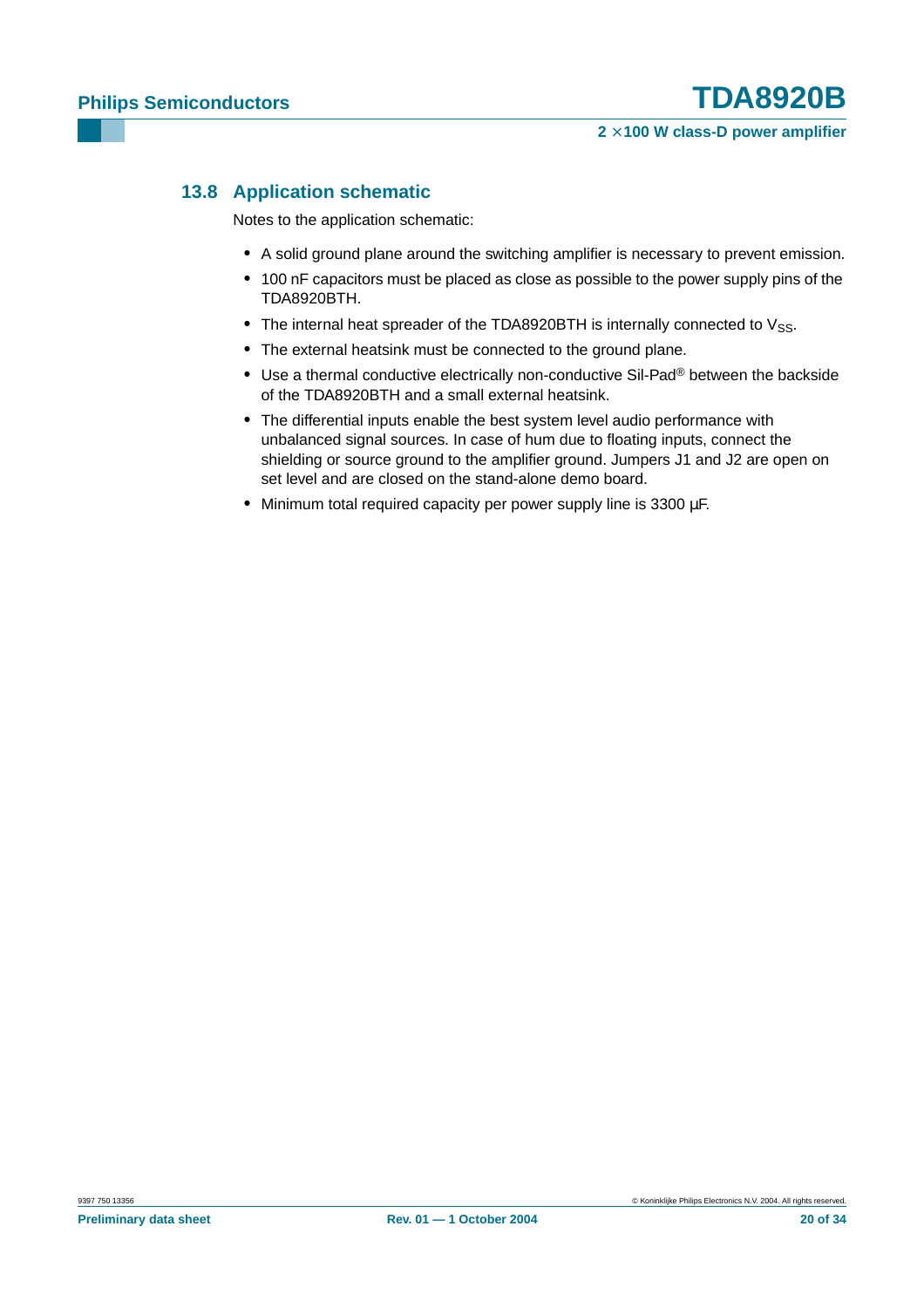### <span id="page-19-0"></span>**13.8 Application schematic**

Notes to the application schematic:

- **•** A solid ground plane around the switching amplifier is necessary to prevent emission.
- **•** 100 nF capacitors must be placed as close as possible to the power supply pins of the TDA8920BTH.
- The internal heat spreader of the TDA8920BTH is internally connected to V<sub>SS</sub>.
- **•** The external heatsink must be connected to the ground plane.
- **•** Use a thermal conductive electrically non-conductive Sil-Pad® between the backside of the TDA8920BTH and a small external heatsink.
- **•** The differential inputs enable the best system level audio performance with unbalanced signal sources. In case of hum due to floating inputs, connect the shielding or source ground to the amplifier ground. Jumpers J1 and J2 are open on set level and are closed on the stand-alone demo board.
- **•** Minimum total required capacity per power supply line is 3300 µF.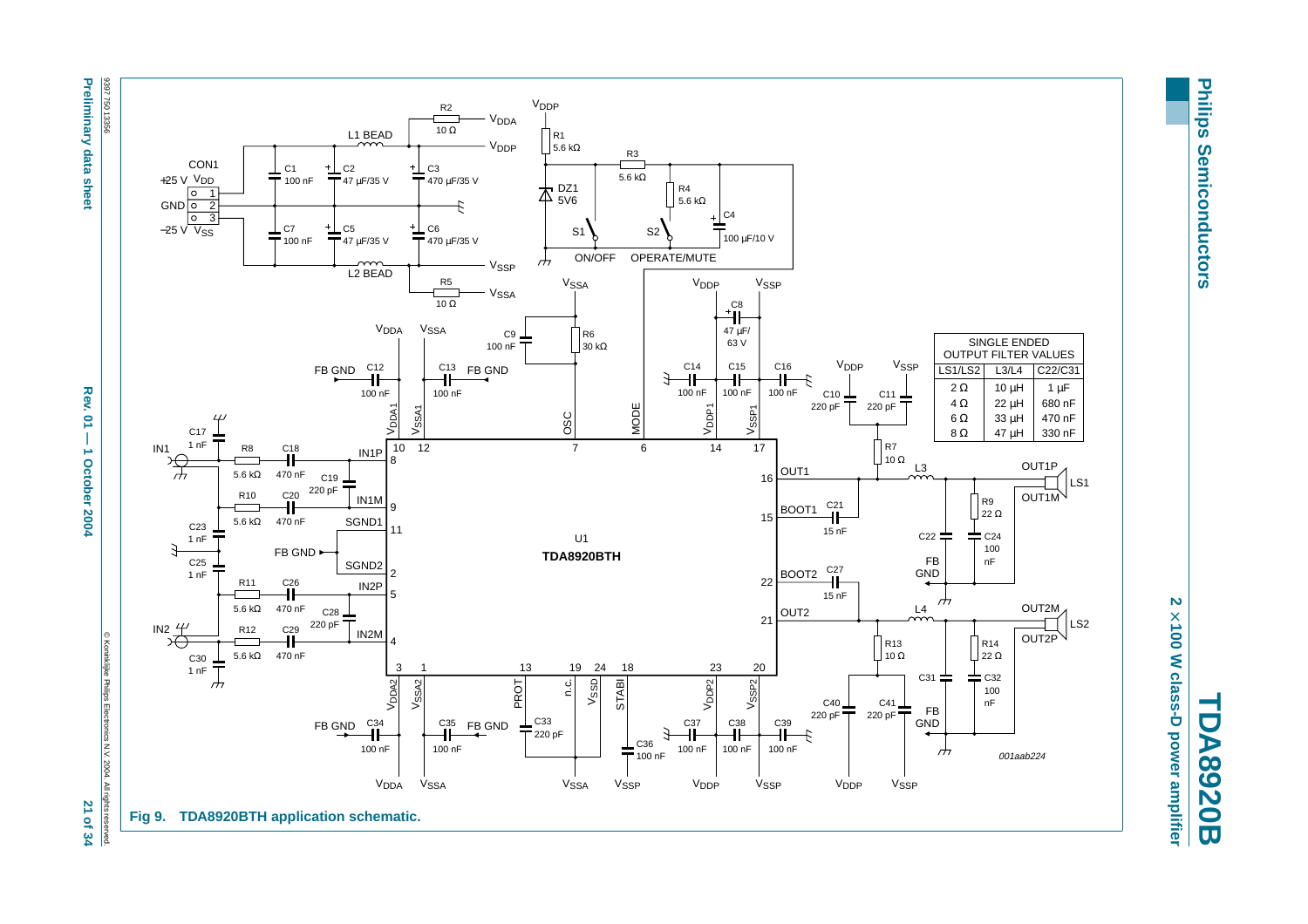

21 of 34 reserved.



**Philips Philips Semiconductors Semiconductors** 

**TDA8920B** 2 × 100 W class-D power amplifier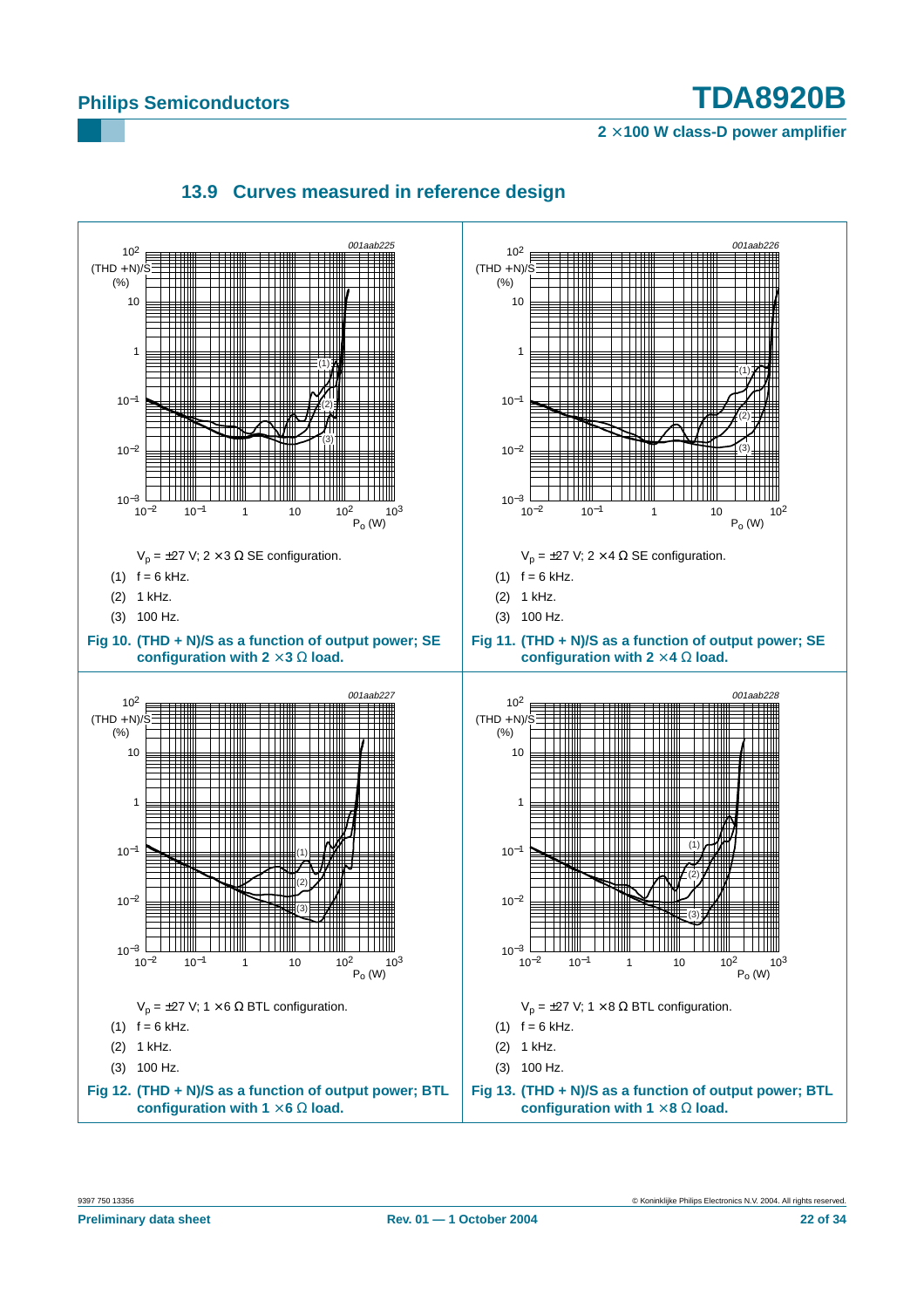**2** × **100 W class-D power amplifier**

<span id="page-21-0"></span>

# **13.9 Curves measured in reference design**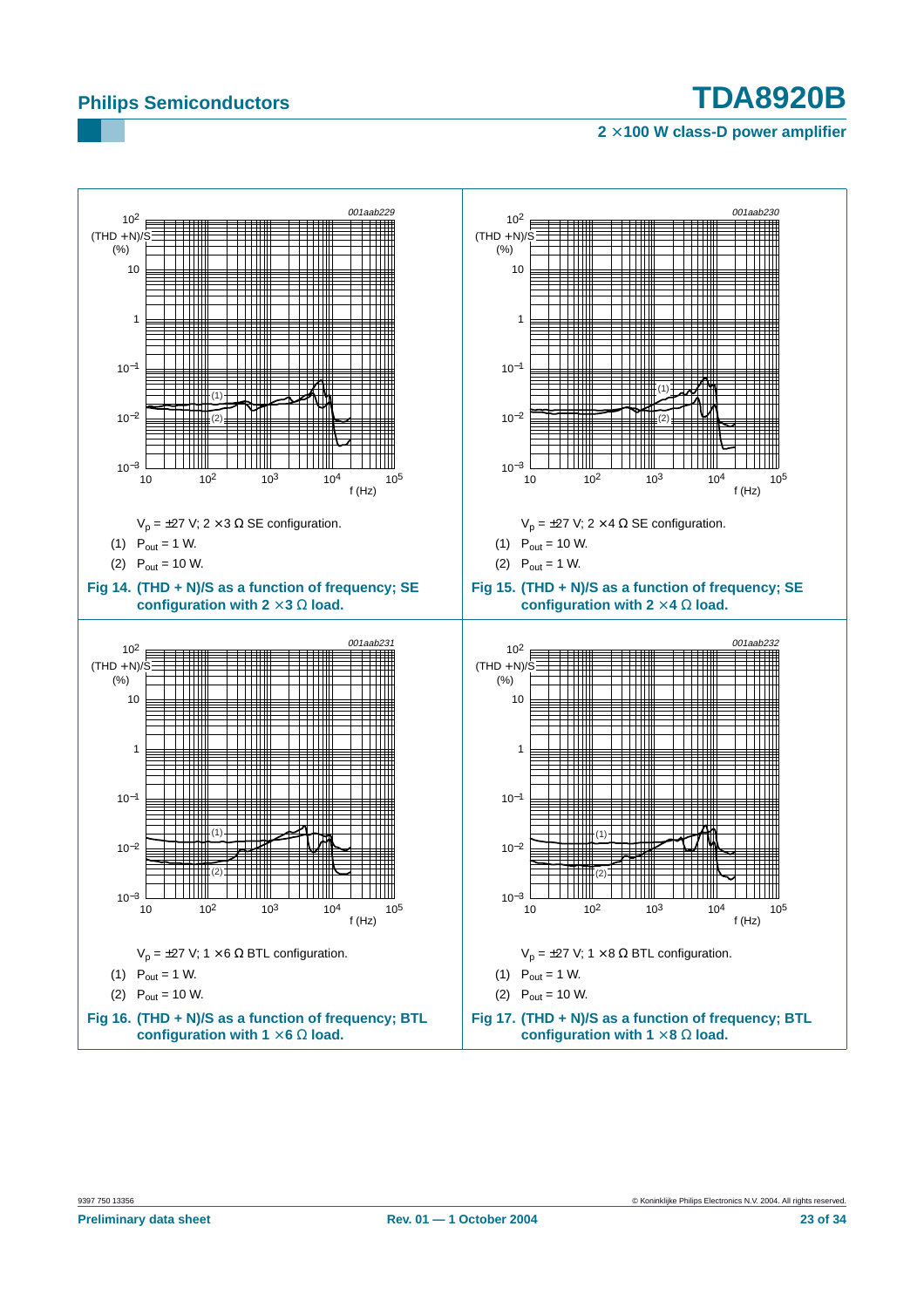![](_page_22_Figure_3.jpeg)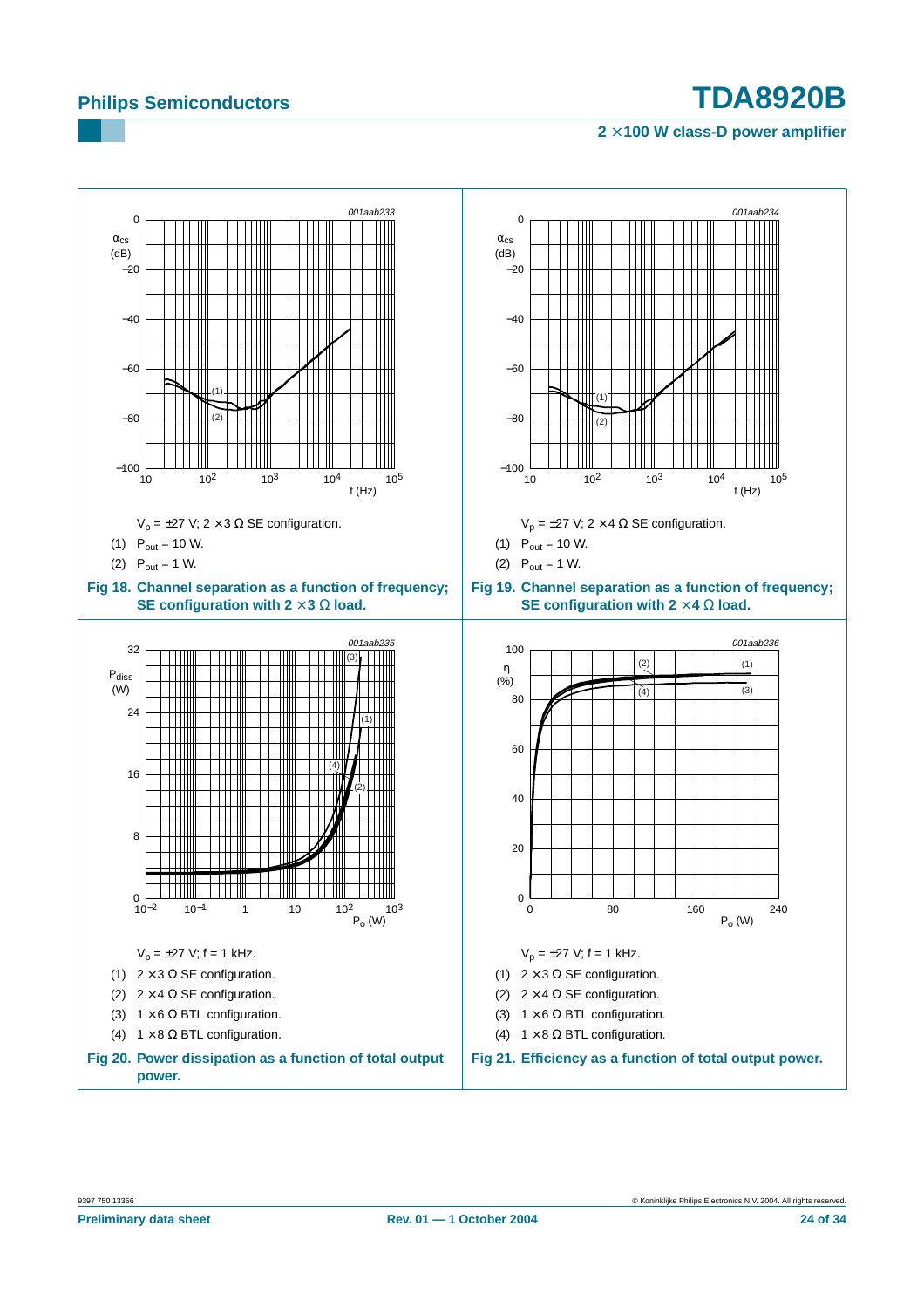<span id="page-23-1"></span><span id="page-23-0"></span>![](_page_23_Figure_3.jpeg)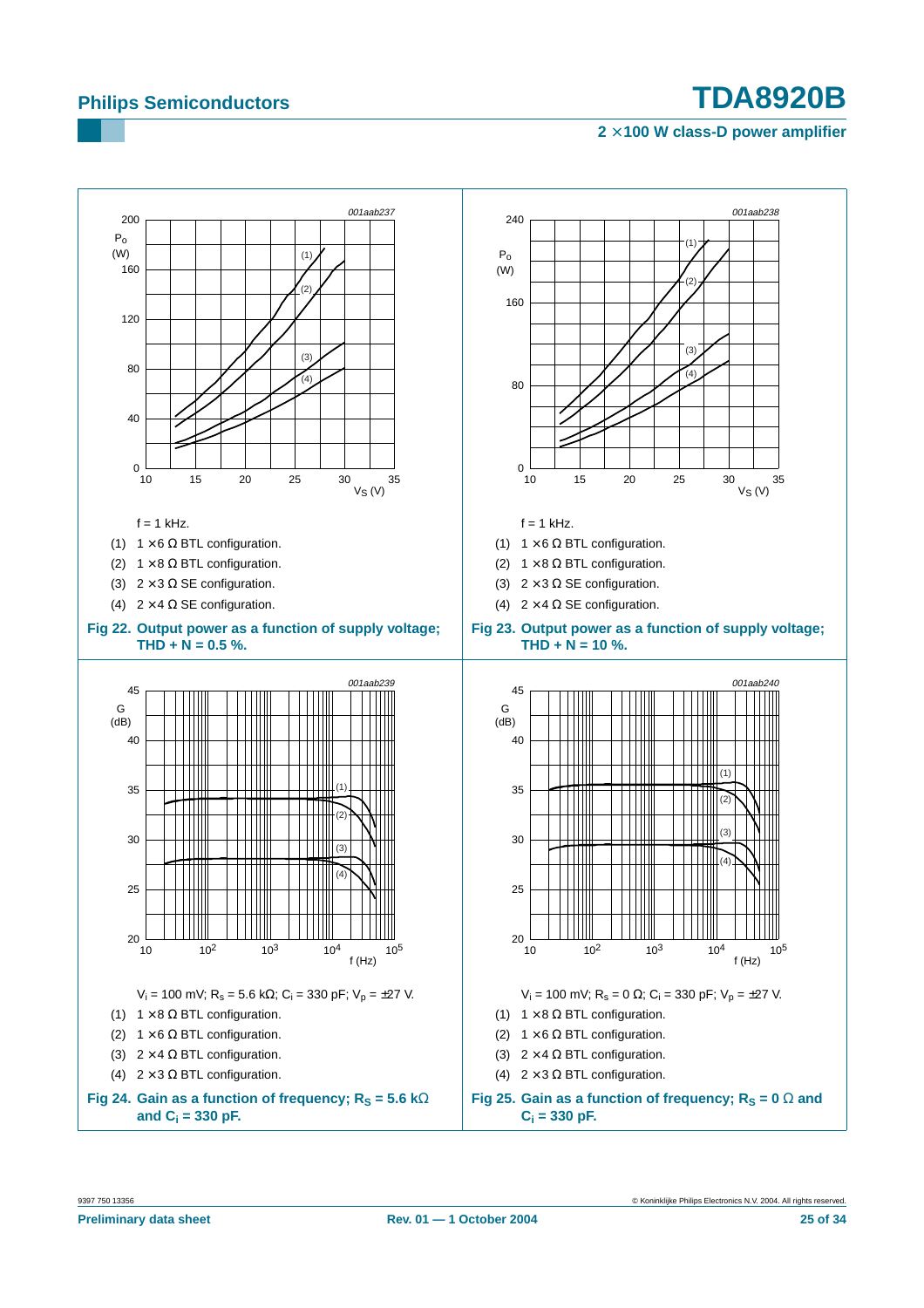![](_page_24_Figure_3.jpeg)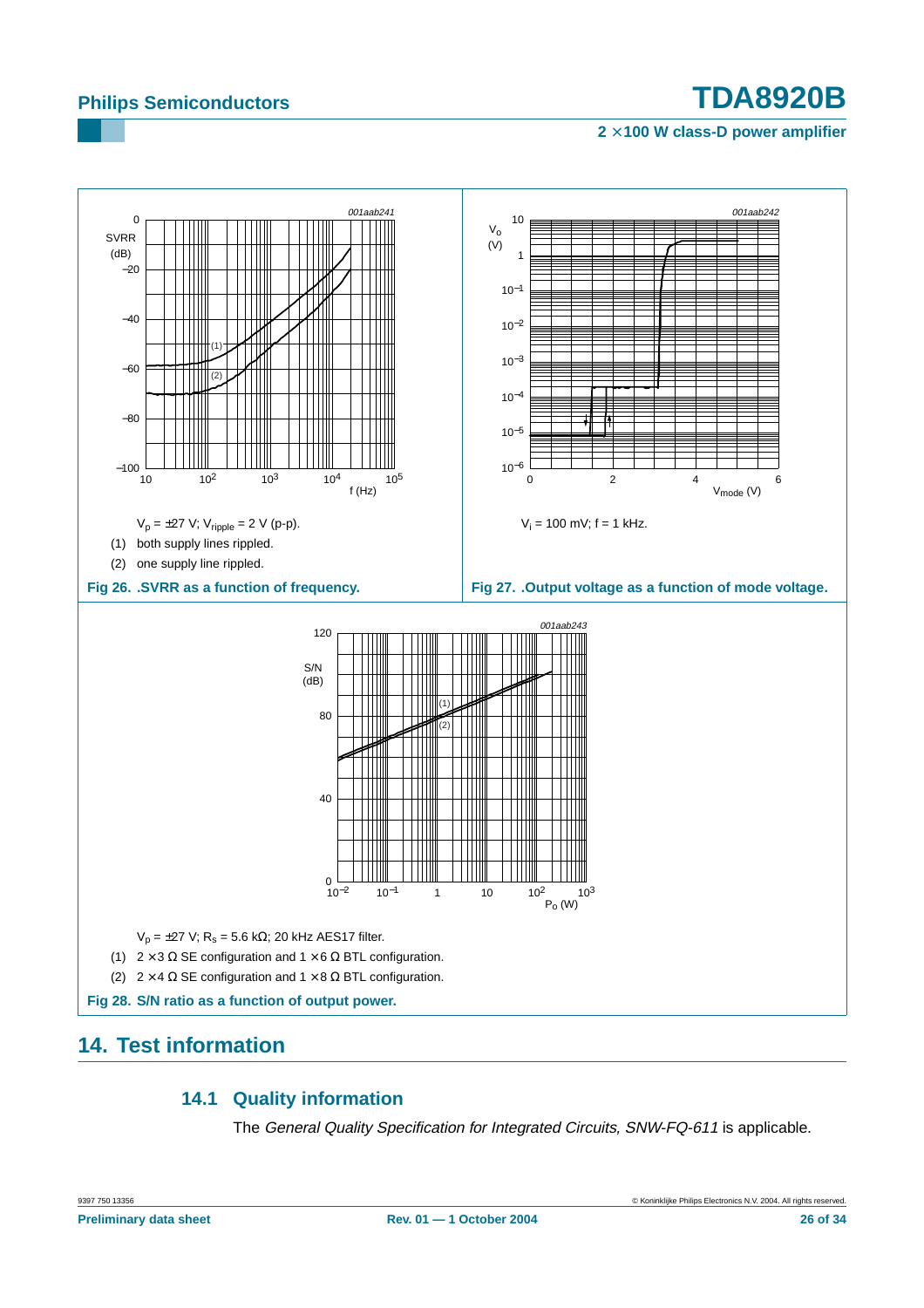**2** × **100 W class-D power amplifier**

![](_page_25_Figure_3.jpeg)

## <span id="page-25-1"></span><span id="page-25-0"></span>**14. Test information**

## **14.1 Quality information**

The General Quality Specification for Integrated Circuits, SNW-FQ-611 is applicable.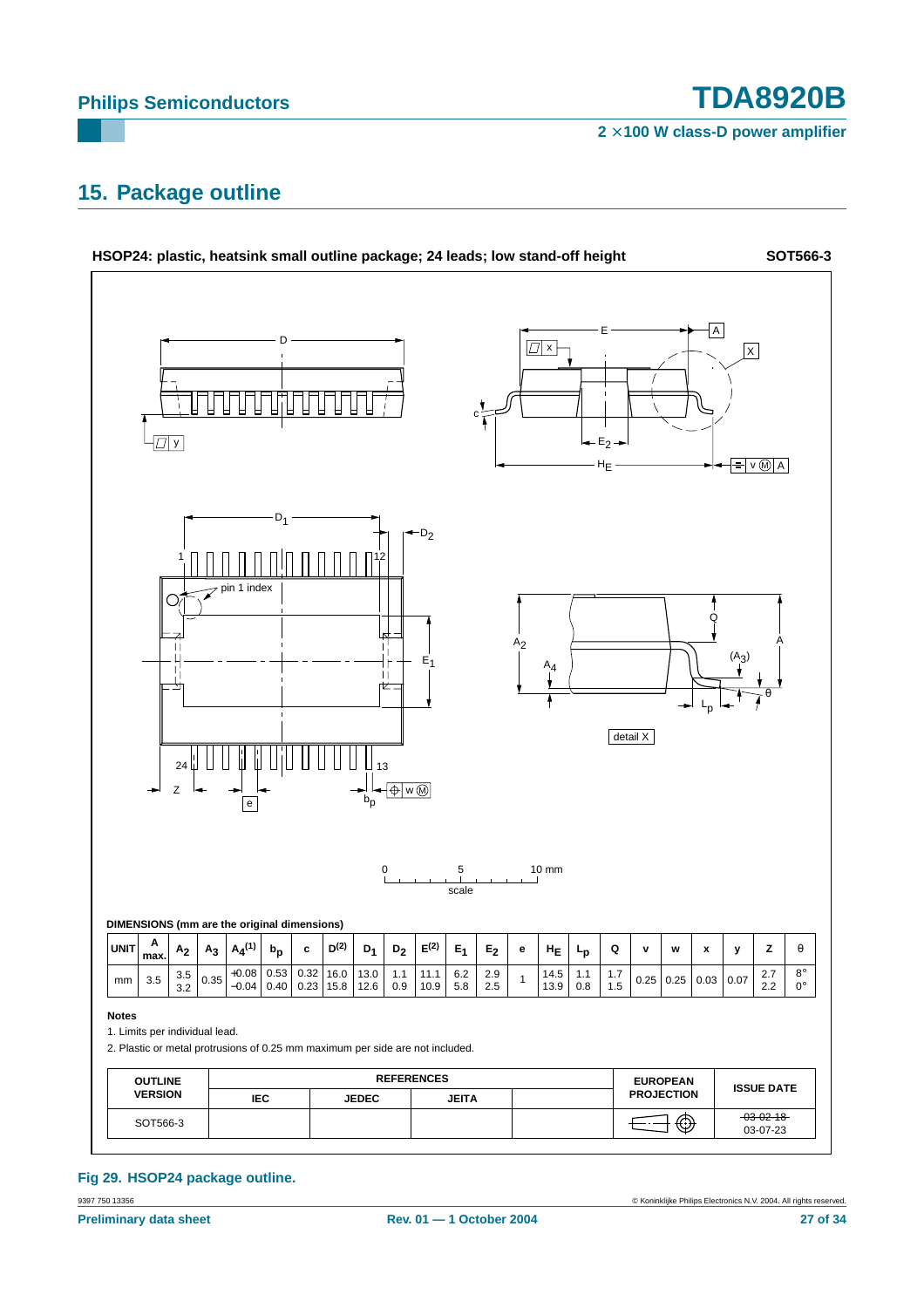**2** × **100 W class-D power amplifier**

## <span id="page-26-0"></span>**15. Package outline**

![](_page_26_Figure_4.jpeg)

#### 9397 750 13356 © Koninklijke Philips Electronics N.V. 2004. All rights reserved. **Fig 29. HSOP24 package outline.**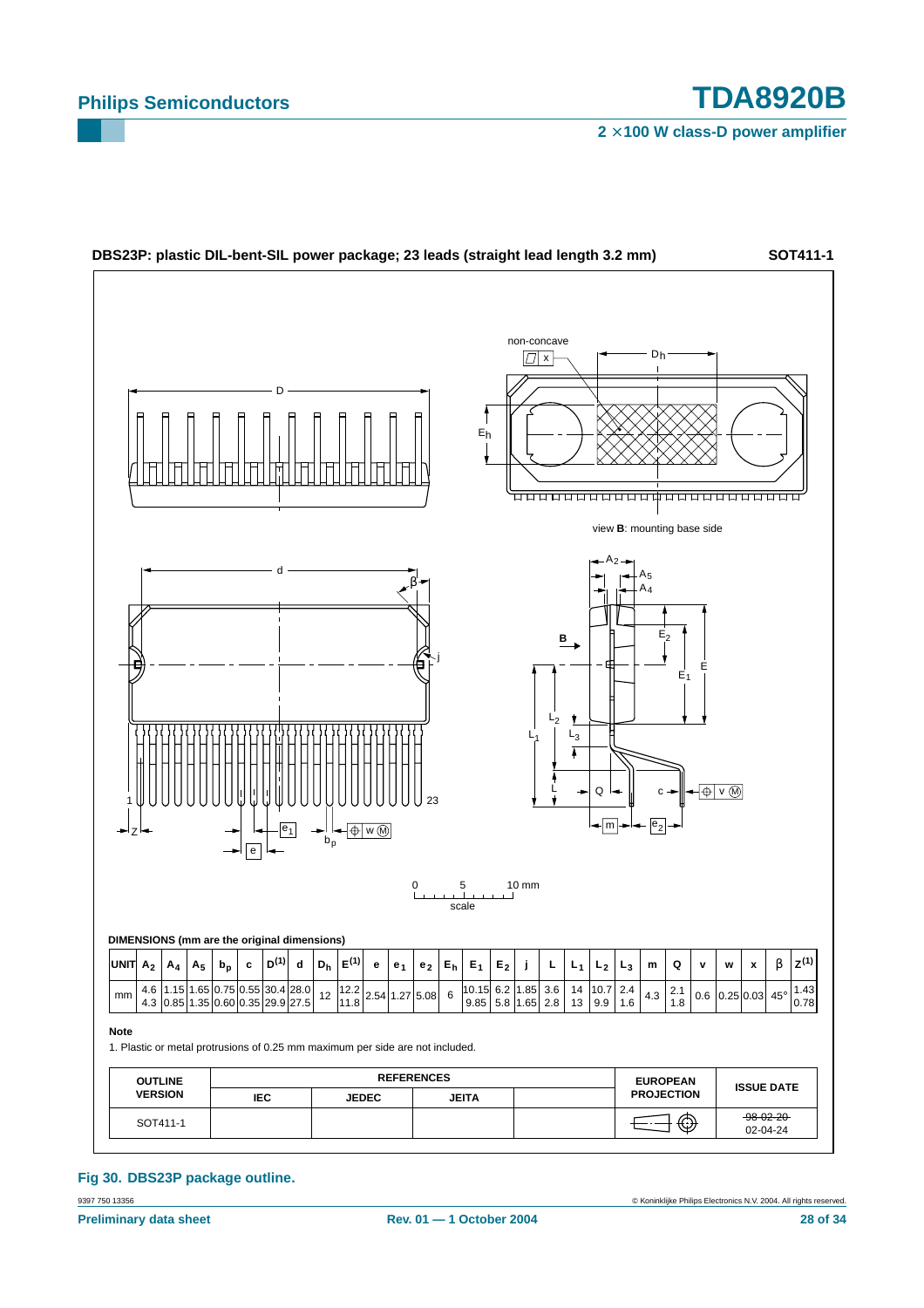![](_page_27_Figure_3.jpeg)

9397 750 13356 © Koninklijke Philips Electronics N.V. 2004. All rights reserved. **Fig 30. DBS23P package outline.**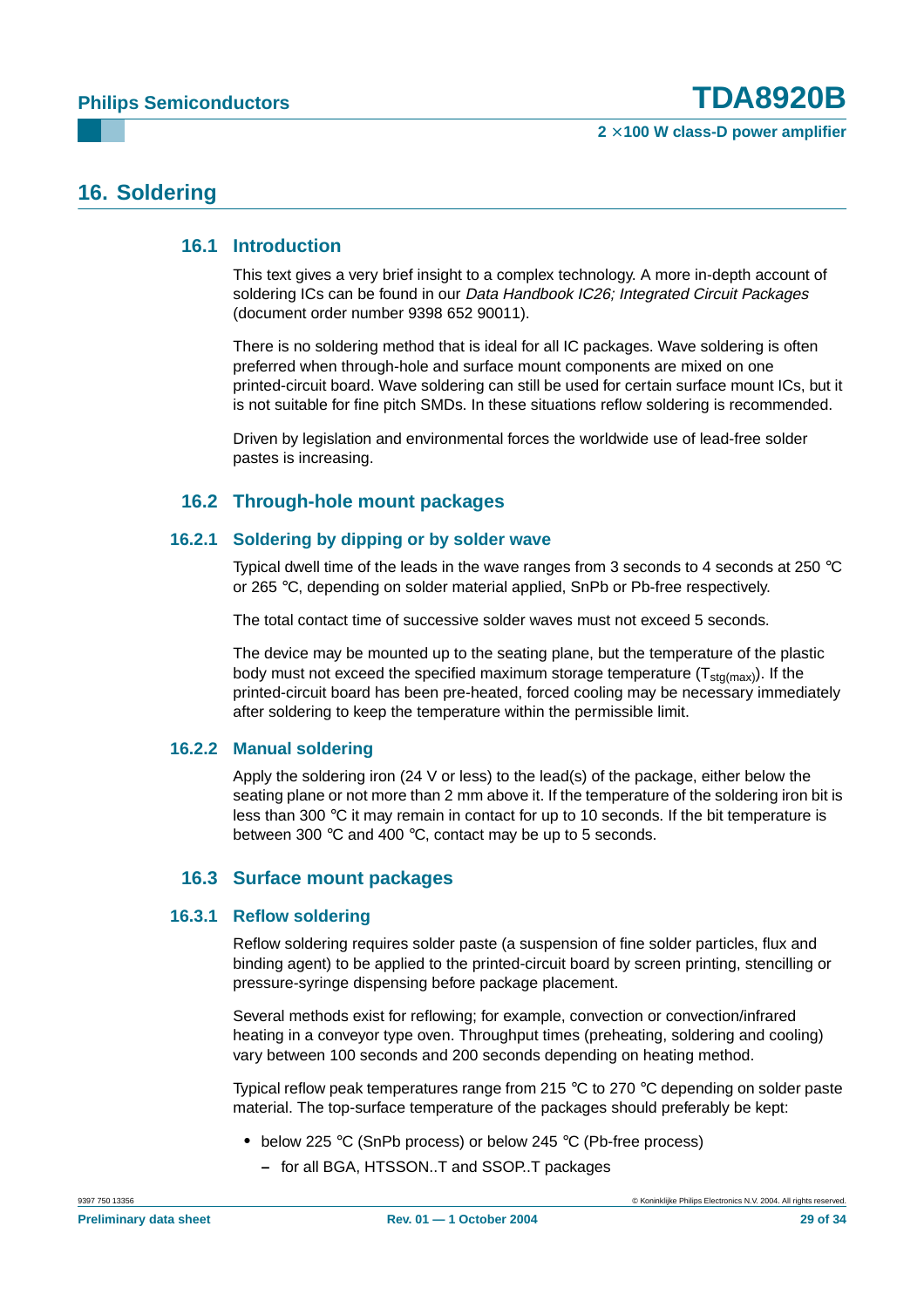## <span id="page-28-1"></span><span id="page-28-0"></span>**16. Soldering**

#### **16.1 Introduction**

This text gives a very brief insight to a complex technology. A more in-depth account of soldering ICs can be found in our Data Handbook IC26; Integrated Circuit Packages (document order number 9398 652 90011).

There is no soldering method that is ideal for all IC packages. Wave soldering is often preferred when through-hole and surface mount components are mixed on one printed-circuit board. Wave soldering can still be used for certain surface mount ICs, but it is not suitable for fine pitch SMDs. In these situations reflow soldering is recommended.

Driven by legislation and environmental forces the worldwide use of lead-free solder pastes is increasing.

#### **16.2 Through-hole mount packages**

#### <span id="page-28-3"></span><span id="page-28-2"></span>**16.2.1 Soldering by dipping or by solder wave**

Typical dwell time of the leads in the wave ranges from 3 seconds to 4 seconds at 250 °C or 265 °C, depending on solder material applied, SnPb or Pb-free respectively.

The total contact time of successive solder waves must not exceed 5 seconds.

The device may be mounted up to the seating plane, but the temperature of the plastic body must not exceed the specified maximum storage temperature  $(T_{\text{std(max)}})$ . If the printed-circuit board has been pre-heated, forced cooling may be necessary immediately after soldering to keep the temperature within the permissible limit.

#### <span id="page-28-4"></span>**16.2.2 Manual soldering**

Apply the soldering iron (24 V or less) to the lead(s) of the package, either below the seating plane or not more than 2 mm above it. If the temperature of the soldering iron bit is less than 300 °C it may remain in contact for up to 10 seconds. If the bit temperature is between 300 °C and 400 °C, contact may be up to 5 seconds.

#### **16.3 Surface mount packages**

#### <span id="page-28-6"></span><span id="page-28-5"></span>**16.3.1 Reflow soldering**

Reflow soldering requires solder paste (a suspension of fine solder particles, flux and binding agent) to be applied to the printed-circuit board by screen printing, stencilling or pressure-syringe dispensing before package placement.

Several methods exist for reflowing; for example, convection or convection/infrared heating in a conveyor type oven. Throughput times (preheating, soldering and cooling) vary between 100 seconds and 200 seconds depending on heating method.

Typical reflow peak temperatures range from 215 °C to 270 °C depending on solder paste material. The top-surface temperature of the packages should preferably be kept:

- **•** below 225 °C (SnPb process) or below 245 °C (Pb-free process)
	- **–** for all BGA, HTSSON..T and SSOP..T packages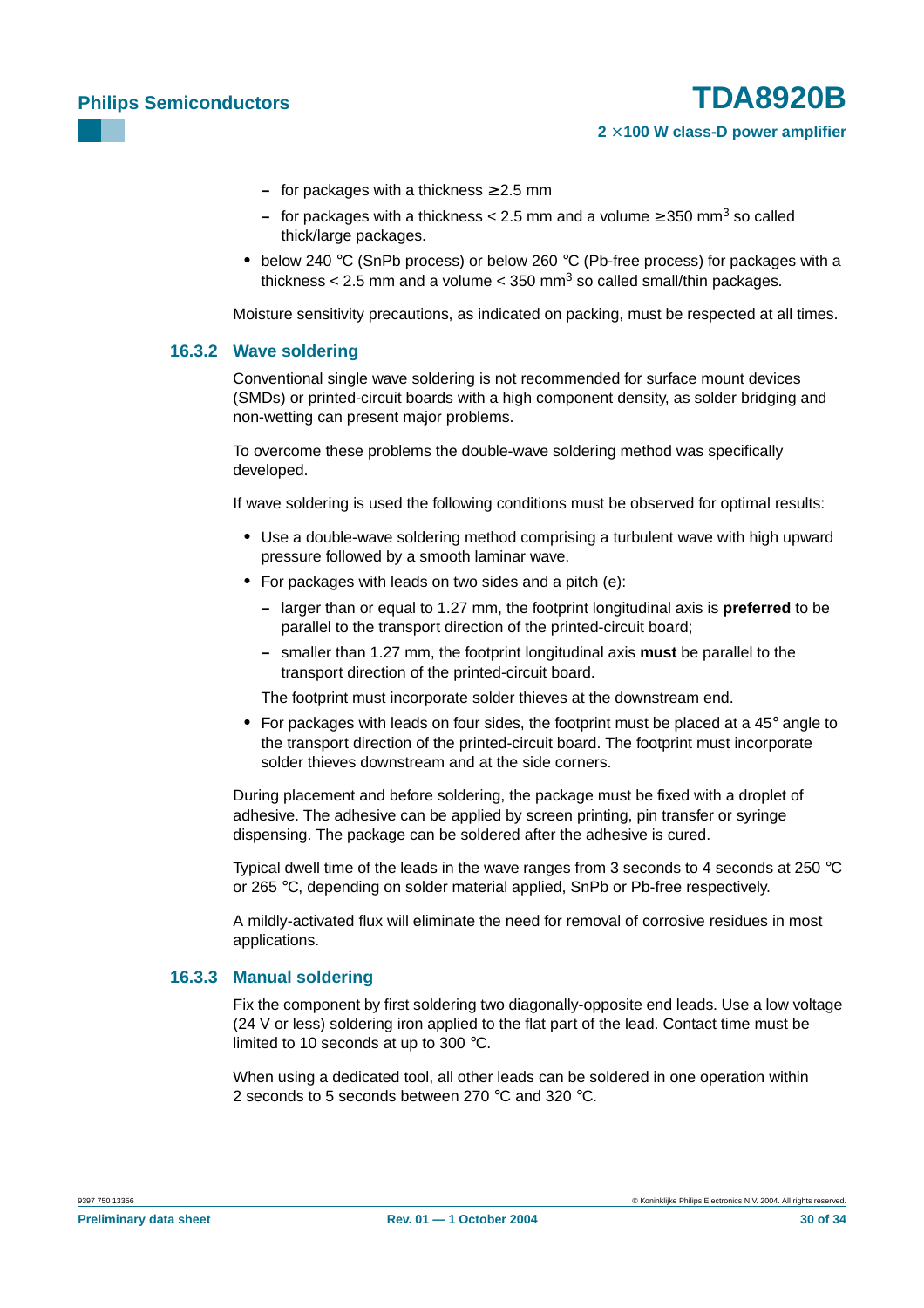#### **2** × **100 W class-D power amplifier**

- **–** for packages with a thickness ≥ 2.5 mm
- **–** for packages with a thickness < 2.5 mm and a volume ≥ 350 mm3 so called thick/large packages.
- **•** below 240 °C (SnPb process) or below 260 °C (Pb-free process) for packages with a thickness  $< 2.5$  mm and a volume  $< 350$  mm<sup>3</sup> so called small/thin packages.

Moisture sensitivity precautions, as indicated on packing, must be respected at all times.

#### <span id="page-29-0"></span>**16.3.2 Wave soldering**

Conventional single wave soldering is not recommended for surface mount devices (SMDs) or printed-circuit boards with a high component density, as solder bridging and non-wetting can present major problems.

To overcome these problems the double-wave soldering method was specifically developed.

If wave soldering is used the following conditions must be observed for optimal results:

- **•** Use a double-wave soldering method comprising a turbulent wave with high upward pressure followed by a smooth laminar wave.
- **•** For packages with leads on two sides and a pitch (e):
	- **–** larger than or equal to 1.27 mm, the footprint longitudinal axis is **preferred** to be parallel to the transport direction of the printed-circuit board;
	- **–** smaller than 1.27 mm, the footprint longitudinal axis **must** be parallel to the transport direction of the printed-circuit board.

The footprint must incorporate solder thieves at the downstream end.

**•** For packages with leads on four sides, the footprint must be placed at a 45° angle to the transport direction of the printed-circuit board. The footprint must incorporate solder thieves downstream and at the side corners.

During placement and before soldering, the package must be fixed with a droplet of adhesive. The adhesive can be applied by screen printing, pin transfer or syringe dispensing. The package can be soldered after the adhesive is cured.

Typical dwell time of the leads in the wave ranges from 3 seconds to 4 seconds at 250  $^{\circ}$ C or 265 °C, depending on solder material applied, SnPb or Pb-free respectively.

A mildly-activated flux will eliminate the need for removal of corrosive residues in most applications.

#### <span id="page-29-1"></span>**16.3.3 Manual soldering**

Fix the component by first soldering two diagonally-opposite end leads. Use a low voltage (24 V or less) soldering iron applied to the flat part of the lead. Contact time must be limited to 10 seconds at up to 300 °C.

When using a dedicated tool, all other leads can be soldered in one operation within 2 seconds to 5 seconds between 270 °C and 320 °C.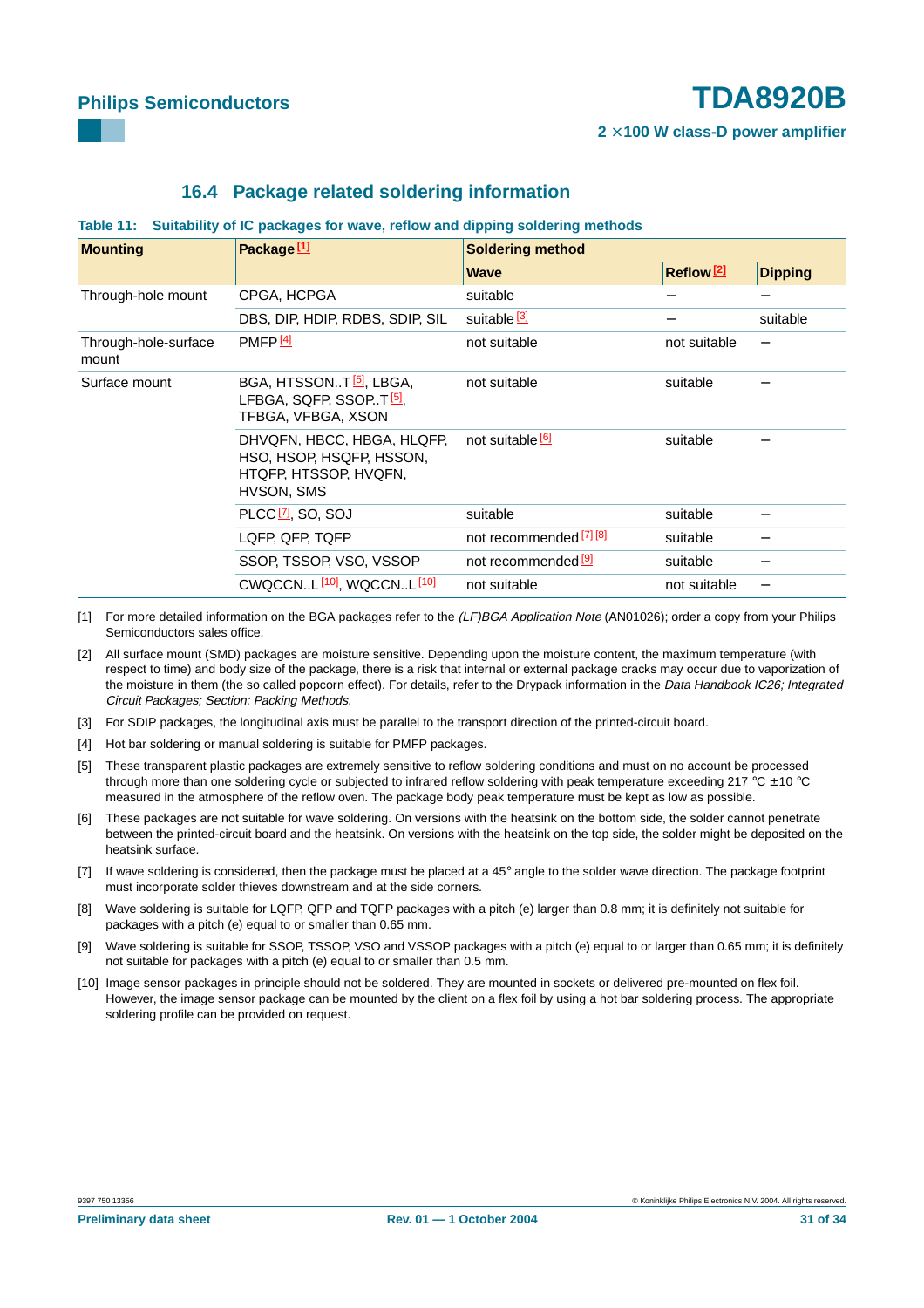### **16.4 Package related soldering information**

#### <span id="page-30-0"></span>**Table 11: Suitability of IC packages for wave, reflow and dipping soldering methods**

| <b>Mounting</b>               | Package $[1]$                                                                                     | <b>Soldering method</b> |                         |                |  |
|-------------------------------|---------------------------------------------------------------------------------------------------|-------------------------|-------------------------|----------------|--|
|                               |                                                                                                   | <b>Wave</b>             | $Reflow$ <sup>[2]</sup> | <b>Dipping</b> |  |
| Through-hole mount            | CPGA, HCPGA                                                                                       | suitable                |                         |                |  |
|                               | DBS, DIP, HDIP, RDBS, SDIP, SIL                                                                   | suitable <sup>[3]</sup> |                         | suitable       |  |
| Through-hole-surface<br>mount | PMFP <sub>[4]</sub>                                                                               | not suitable            | not suitable            |                |  |
| Surface mount                 | BGA, HTSSONT <sup>[5]</sup> , LBGA,<br>LFBGA, SQFP, SSOPT. <sup>[5]</sup> ,<br>TFBGA, VFBGA, XSON | not suitable            | suitable                |                |  |
|                               | DHVQFN, HBCC, HBGA, HLQFP,<br>HSO, HSOP, HSQFP, HSSON,<br>HTQFP, HTSSOP, HVQFN,<br>HVSON, SMS     | not suitable [6]        | suitable                |                |  |
|                               | PLCC <sup>[7]</sup> , SO, SOJ                                                                     | suitable                | suitable                |                |  |
|                               | LQFP, QFP, TQFP                                                                                   | not recommended [7] [8] | suitable                |                |  |
|                               | SSOP, TSSOP, VSO, VSSOP                                                                           | not recommended [9]     | suitable                |                |  |
|                               | CWQCCNL [10], WQCCNL [10]                                                                         | not suitable            | not suitable            |                |  |

- [1] For more detailed information on the BGA packages refer to the (LF)BGA Application Note (AN01026); order a copy from your Philips Semiconductors sales office.
- [2] All surface mount (SMD) packages are moisture sensitive. Depending upon the moisture content, the maximum temperature (with respect to time) and body size of the package, there is a risk that internal or external package cracks may occur due to vaporization of the moisture in them (the so called popcorn effect). For details, refer to the Drypack information in the Data Handbook IC26; Integrated Circuit Packages; Section: Packing Methods.
- [3] For SDIP packages, the longitudinal axis must be parallel to the transport direction of the printed-circuit board.
- [4] Hot bar soldering or manual soldering is suitable for PMFP packages.
- [5] These transparent plastic packages are extremely sensitive to reflow soldering conditions and must on no account be processed through more than one soldering cycle or subjected to infrared reflow soldering with peak temperature exceeding 217  $^{\circ}$ C  $\pm$  10  $^{\circ}$ C measured in the atmosphere of the reflow oven. The package body peak temperature must be kept as low as possible.
- [6] These packages are not suitable for wave soldering. On versions with the heatsink on the bottom side, the solder cannot penetrate between the printed-circuit board and the heatsink. On versions with the heatsink on the top side, the solder might be deposited on the heatsink surface.
- [7] If wave soldering is considered, then the package must be placed at a 45° angle to the solder wave direction. The package footprint must incorporate solder thieves downstream and at the side corners.
- [8] Wave soldering is suitable for LQFP, QFP and TQFP packages with a pitch (e) larger than 0.8 mm; it is definitely not suitable for packages with a pitch (e) equal to or smaller than 0.65 mm.
- [9] Wave soldering is suitable for SSOP, TSSOP, VSO and VSSOP packages with a pitch (e) equal to or larger than 0.65 mm; it is definitely not suitable for packages with a pitch (e) equal to or smaller than 0.5 mm.
- [10] Image sensor packages in principle should not be soldered. They are mounted in sockets or delivered pre-mounted on flex foil. However, the image sensor package can be mounted by the client on a flex foil by using a hot bar soldering process. The appropriate soldering profile can be provided on request.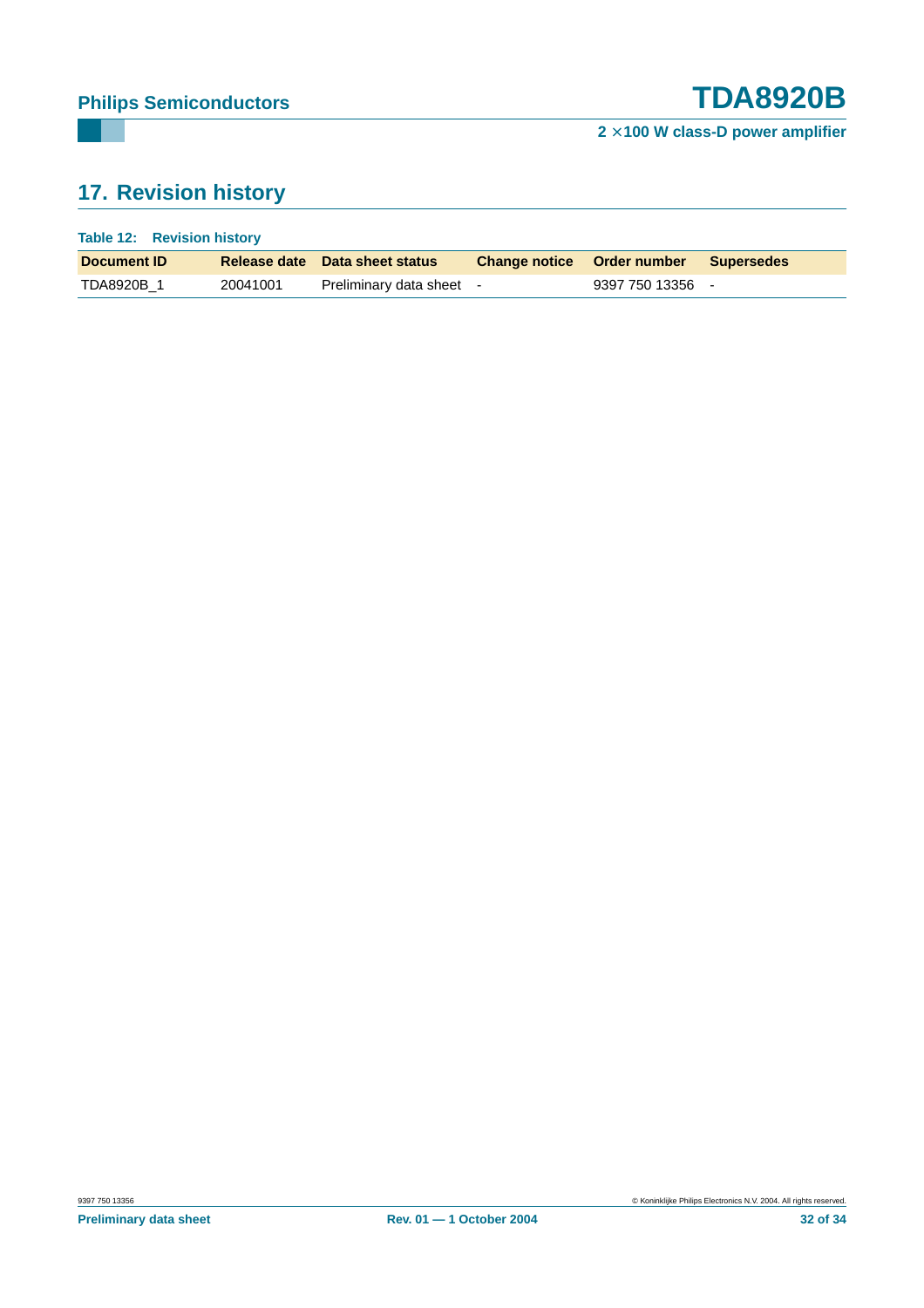# <span id="page-31-0"></span>**17. Revision history**

| Table 12: Revision history |          |                                |  |                                       |  |
|----------------------------|----------|--------------------------------|--|---------------------------------------|--|
| Document <b>ID</b>         |          | Release date Data sheet status |  | Change notice Order number Supersedes |  |
| TDA8920B 1                 | 20041001 | Preliminary data sheet -       |  | 9397 750 13356                        |  |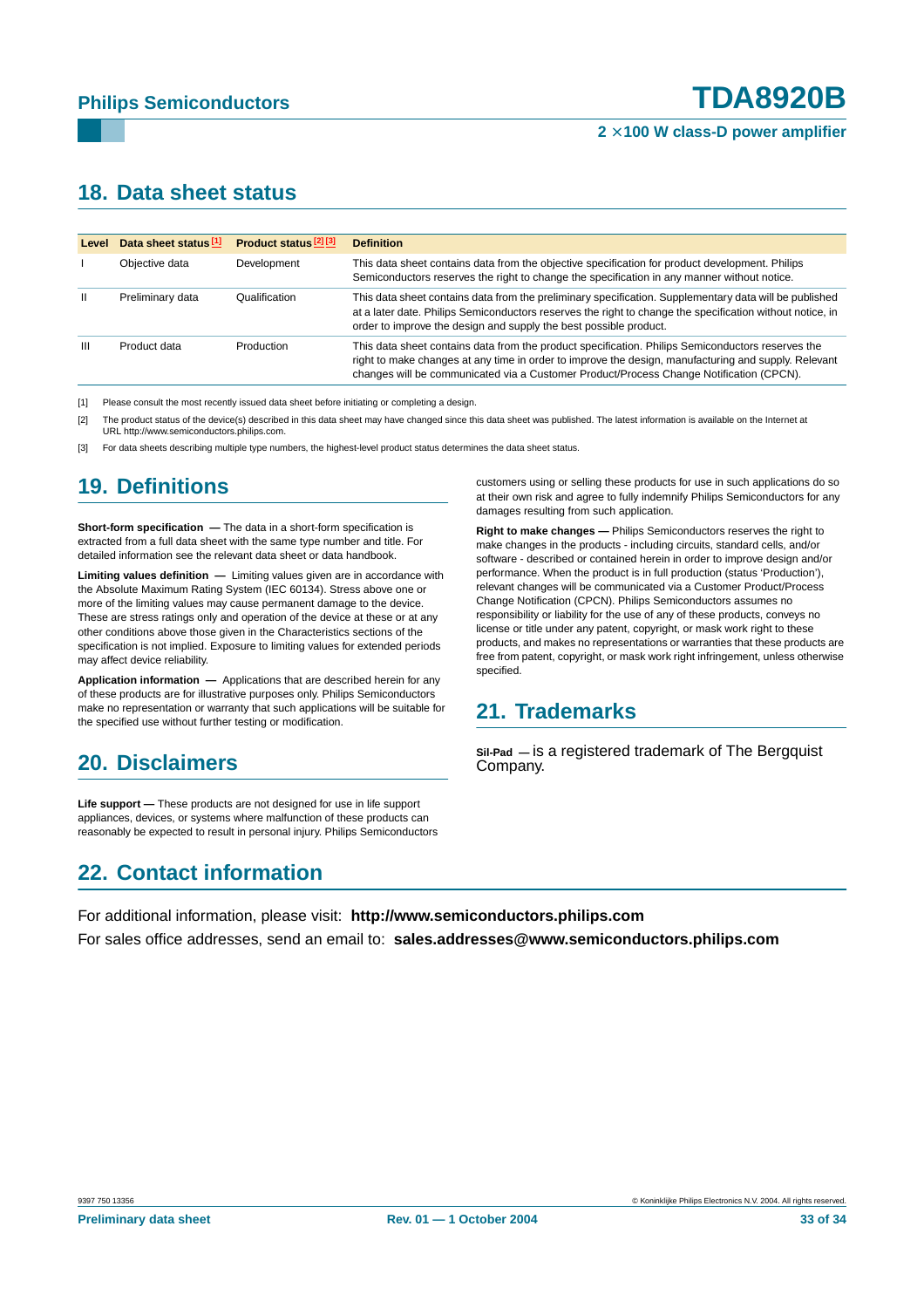#### **2** × **100 W class-D power amplifier**

## <span id="page-32-0"></span>**18. Data sheet status**

| Level | Data sheet status <sup>[1]</sup> | Product status <sup>[2][3]</sup> | <b>Definition</b>                                                                                                                                                                                                                                                                                    |
|-------|----------------------------------|----------------------------------|------------------------------------------------------------------------------------------------------------------------------------------------------------------------------------------------------------------------------------------------------------------------------------------------------|
|       | Objective data                   | Development                      | This data sheet contains data from the objective specification for product development. Philips<br>Semiconductors reserves the right to change the specification in any manner without notice.                                                                                                       |
| Ш     | Preliminary data                 | Qualification                    | This data sheet contains data from the preliminary specification. Supplementary data will be published<br>at a later date. Philips Semiconductors reserves the right to change the specification without notice, in<br>order to improve the design and supply the best possible product.             |
| Ш     | Product data                     | Production                       | This data sheet contains data from the product specification. Philips Semiconductors reserves the<br>right to make changes at any time in order to improve the design, manufacturing and supply. Relevant<br>changes will be communicated via a Customer Product/Process Change Notification (CPCN). |

[1] Please consult the most recently issued data sheet before initiating or completing a design.

[2] The product status of the device(s) described in this data sheet may have changed since this data sheet was published. The latest information is available on the Internet at URL http://www.semiconductors.philips.com.

[3] For data sheets describing multiple type numbers, the highest-level product status determines the data sheet status.

# <span id="page-32-1"></span>**19. Definitions**

**Short-form specification —** The data in a short-form specification is extracted from a full data sheet with the same type number and title. For detailed information see the relevant data sheet or data handbook.

**Limiting values definition —** Limiting values given are in accordance with the Absolute Maximum Rating System (IEC 60134). Stress above one or more of the limiting values may cause permanent damage to the device. These are stress ratings only and operation of the device at these or at any other conditions above those given in the Characteristics sections of the specification is not implied. Exposure to limiting values for extended periods may affect device reliability.

**Application information —** Applications that are described herein for any of these products are for illustrative purposes only. Philips Semiconductors make no representation or warranty that such applications will be suitable for the specified use without further testing or modification.

# <span id="page-32-2"></span>**20. Disclaimers**

**Life support —** These products are not designed for use in life support appliances, devices, or systems where malfunction of these products can reasonably be expected to result in personal injury. Philips Semiconductors

# <span id="page-32-4"></span>**22. Contact information**

customers using or selling these products for use in such applications do so at their own risk and agree to fully indemnify Philips Semiconductors for any damages resulting from such application.

**Right to make changes —** Philips Semiconductors reserves the right to make changes in the products - including circuits, standard cells, and/or software - described or contained herein in order to improve design and/or performance. When the product is in full production (status 'Production'), relevant changes will be communicated via a Customer Product/Process Change Notification (CPCN). Philips Semiconductors assumes no responsibility or liability for the use of any of these products, conveys no license or title under any patent, copyright, or mask work right to these products, and makes no representations or warranties that these products are free from patent, copyright, or mask work right infringement, unless otherwise specified.

# <span id="page-32-3"></span>**21. Trademarks**

**Sil-Pad —** is a registered trademark of The Bergquist Company.

For additional information, please visit: **http://www.semiconductors.philips.com** For sales office addresses, send an email to: **sales.addresses@www.semiconductors.philips.com**